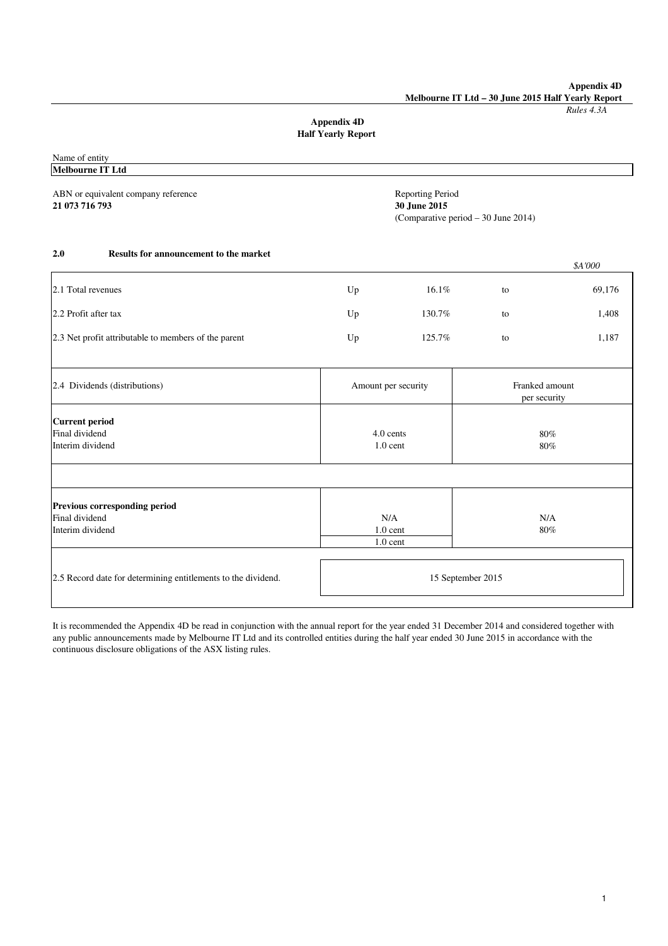**Appendix 4D Melbourne IT Ltd – 30 June 2015 Half Yearly Report**

*Rules 4.3A*

## **Appendix 4D Half Yearly Report**

Name of entity

|                         | <b>Reporting Period</b><br>30 June 2015 |                                 |                                     |
|-------------------------|-----------------------------------------|---------------------------------|-------------------------------------|
|                         |                                         |                                 | \$A'000                             |
| Up                      | 16.1%                                   | to                              | 69,176                              |
| Up                      | 130.7%                                  | to                              | 1,408                               |
| Up                      | 125.7%                                  | to                              | 1,187                               |
| Amount per security     |                                         | Franked amount<br>per security  |                                     |
| 4.0 cents<br>$1.0$ cent |                                         | 80%<br>80%                      |                                     |
|                         |                                         |                                 |                                     |
|                         |                                         | N/A<br>80%                      |                                     |
| 15 September 2015       |                                         |                                 |                                     |
|                         |                                         | N/A<br>$1.0$ cent<br>$1.0$ cent | (Comparative period - 30 June 2014) |

It is recommended the Appendix 4D be read in conjunction with the annual report for the year ended 31 December 2014 and considered together with any public announcements made by Melbourne IT Ltd and its controlled entities during the half year ended 30 June 2015 in accordance with the continuous disclosure obligations of the ASX listing rules.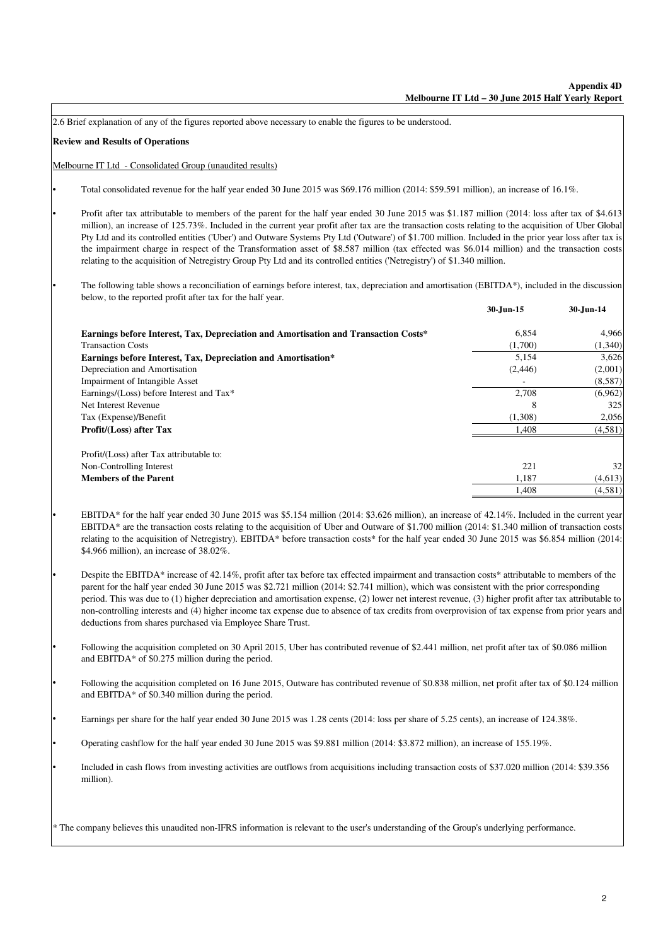**Review and Results of Operations** Melbourne IT Ltd - Consolidated Group (unaudited results) **30-Jun-15 30-Jun-14** 6,854 4,966 Transaction Costs  $(1,340)$  (1,340) **Earnings before Interest, Tax, Depreciation and Amortisation\*** 5,154 5,154 3,626 Depreciation and Amortisation (2,446) (2,001) Impairment of Intangible Asset - (8,587) Earnings/(Loss) before Interest and Tax\* 2,708 (6,962) Net Interest Revenue 225 Tax (Expense)/Benefit (1,308) 2,056 **Profit/(Loss) after Tax** 1,408 (4,581) Profit/(Loss) after Tax attributable to: Non-Controlling Interest 221 32 **Members of the Parent** (4,613) (4,613) 1,408 (4,581) 2.6 Brief explanation of any of the figures reported above necessary to enable the figures to be understood. Total consolidated revenue for the half year ended 30 June 2015 was \$69.176 million (2014: \$59.591 million), an increase of 16.1%. EBITDA\* for the half year ended 30 June 2015 was \$5.154 million (2014: \$3.626 million), an increase of 42.14%. Included in the current year EBITDA\* are the transaction costs relating to the acquisition of Uber and Outware of \$1.700 million (2014: \$1.340 million of transaction costs relating to the acquisition of Netregistry). EBITDA\* before transaction costs\* for the half year ended 30 June 2015 was \$6.854 million (2014: \$4.966 million), an increase of 38.02%. Included in cash flows from investing activities are outflows from acquisitions including transaction costs of \$37.020 million (2014: \$39.356 million). Operating cashflow for the half year ended 30 June 2015 was \$9.881 million (2014: \$3.872 million), an increase of 155.19%. Following the acquisition completed on 30 April 2015, Uber has contributed revenue of \$2.441 million, net profit after tax of \$0.086 million and EBITDA\* of \$0.275 million during the period. **Earnings before Interest, Tax, Depreciation and Amortisation and Transaction Costs\*** Profit after tax attributable to members of the parent for the half year ended 30 June 2015 was \$1.187 million (2014: loss after tax of \$4.613 million), an increase of 125.73%. Included in the current year profit after tax are the transaction costs relating to the acquisition of Uber Global Pty Ltd and its controlled entities ('Uber') and Outware Systems Pty Ltd ('Outware') of \$1.700 million. Included in the prior year loss after tax is the impairment charge in respect of the Transformation asset of \$8.587 million (tax effected was \$6.014 million) and the transaction costs relating to the acquisition of Netregistry Group Pty Ltd and its controlled entities ('Netregistry') of \$1.340 million. Despite the EBITDA\* increase of 42.14%, profit after tax before tax effected impairment and transaction costs\* attributable to members of the parent for the half year ended 30 June 2015 was \$2.721 million (2014: \$2.741 million), which was consistent with the prior corresponding period. This was due to (1) higher depreciation and amortisation expense, (2) lower net interest revenue, (3) higher profit after tax attributable to non-controlling interests and (4) higher income tax expense due to absence of tax credits from overprovision of tax expense from prior years and deductions from shares purchased via Employee Share Trust. Following the acquisition completed on 16 June 2015, Outware has contributed revenue of \$0.838 million, net profit after tax of \$0.124 million and EBITDA\* of \$0.340 million during the period. Earnings per share for the half year ended 30 June 2015 was 1.28 cents (2014: loss per share of 5.25 cents), an increase of 124.38%. The following table shows a reconciliation of earnings before interest, tax, depreciation and amortisation (EBITDA\*), included in the discussion below, to the reported profit after tax for the half year.

•

•

•

•

•

•

•

•

•

•

\* The company believes this unaudited non-IFRS information is relevant to the user's understanding of the Group's underlying performance.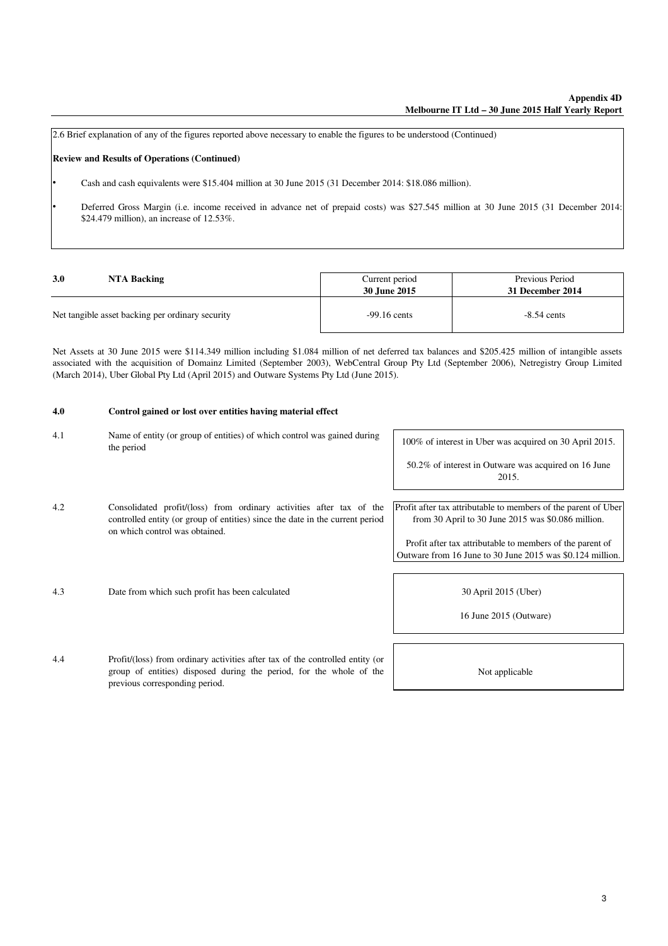2.6 Brief explanation of any of the figures reported above necessary to enable the figures to be understood (Continued)

#### **Review and Results of Operations (Continued)**

•

•

Cash and cash equivalents were \$15.404 million at 30 June 2015 (31 December 2014: \$18.086 million).

Deferred Gross Margin (i.e. income received in advance net of prepaid costs) was \$27.545 million at 30 June 2015 (31 December 2014: \$24.479 million), an increase of 12.53%.

| 3.0 | NTA Backing                                      | Current period<br>30 June 2015 | Previous Period<br>31 December 2014 |
|-----|--------------------------------------------------|--------------------------------|-------------------------------------|
|     | Net tangible asset backing per ordinary security | $-99.16$ cents                 | $-8.54$ cents                       |

Net Assets at 30 June 2015 were \$114.349 million including \$1.084 million of net deferred tax balances and \$205.425 million of intangible assets associated with the acquisition of Domainz Limited (September 2003), WebCentral Group Pty Ltd (September 2006), Netregistry Group Limited (March 2014), Uber Global Pty Ltd (April 2015) and Outware Systems Pty Ltd (June 2015).

#### **4.0 Control gained or lost over entities having material effect**

previous corresponding period.

| 4.1 | Name of entity (or group of entities) of which control was gained during<br>the period                                                                                                  | 100% of interest in Uber was acquired on 30 April 2015.                                                                |
|-----|-----------------------------------------------------------------------------------------------------------------------------------------------------------------------------------------|------------------------------------------------------------------------------------------------------------------------|
|     |                                                                                                                                                                                         | 50.2% of interest in Outware was acquired on 16 June<br>2015.                                                          |
| 4.2 | Consolidated profit/(loss) from ordinary activities after tax of the<br>controlled entity (or group of entities) since the date in the current period<br>on which control was obtained. | Profit after tax attributable to members of the parent of Uber<br>from 30 April to 30 June 2015 was $$0.086$ million.  |
|     |                                                                                                                                                                                         | Profit after tax attributable to members of the parent of<br>Outware from 16 June to 30 June 2015 was \$0.124 million. |
| 4.3 | Date from which such profit has been calculated                                                                                                                                         | 30 April 2015 (Uber)                                                                                                   |
|     |                                                                                                                                                                                         | 16 June 2015 (Outware)                                                                                                 |
| 4.4 | Profit/(loss) from ordinary activities after tax of the controlled entity (or<br>group of entities) disposed during the period, for the whole of the                                    | Not applicable                                                                                                         |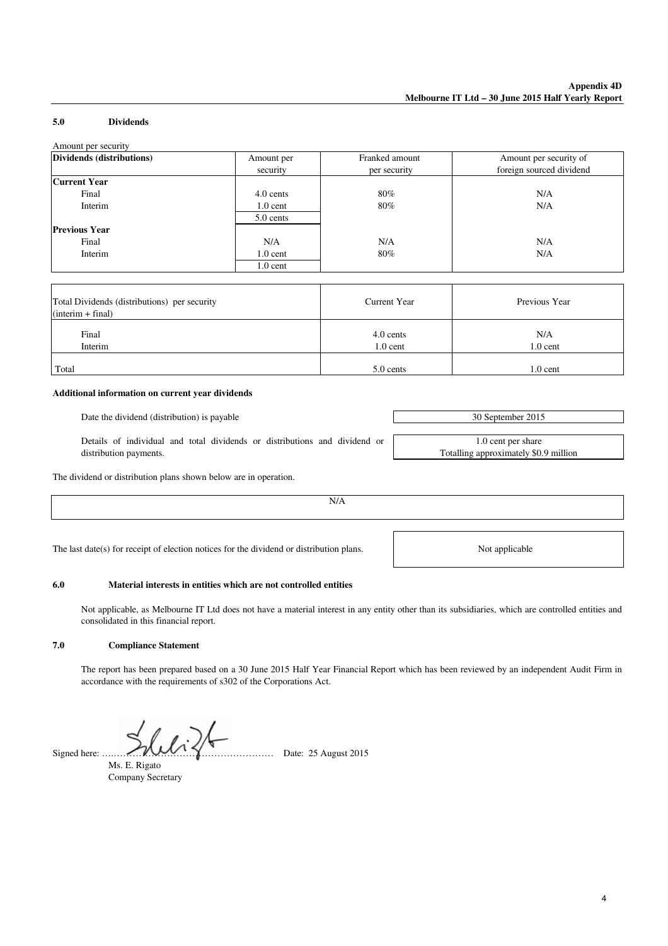#### **5.0 Dividends**

| Amount per security                          |            |                     |                          |
|----------------------------------------------|------------|---------------------|--------------------------|
| Dividends (distributions)                    | Amount per | Franked amount      | Amount per security of   |
|                                              | security   | per security        | foreign sourced dividend |
| <b>Current Year</b>                          |            |                     |                          |
| Final                                        | 4.0 cents  | 80%                 | N/A                      |
| Interim                                      | $1.0$ cent | 80%                 | N/A                      |
|                                              | 5.0 cents  |                     |                          |
| <b>Previous Year</b>                         |            |                     |                          |
| Final                                        | N/A        | N/A                 | N/A                      |
| Interim                                      | $1.0$ cent | 80%                 | N/A                      |
|                                              | $1.0$ cent |                     |                          |
|                                              |            |                     |                          |
| Total Dividends (distributions) per security |            | <b>Current Year</b> | Previous Year            |
| $(interim + final)$                          |            |                     |                          |
| Final                                        |            | 4.0 cents           | N/A                      |
| Interim                                      |            | $1.0$ cent          | $1.0$ cent               |
| Total                                        |            | 5.0 cents           | $1.0$ cent               |

#### **Additional information on current year dividends**

Date the dividend (distribution) is payable 30 September 2015

Details of individual and total dividends or distributions and dividend or distribution payments.

The dividend or distribution plans shown below are in operation.

N/A

The last date(s) for receipt of election notices for the dividend or distribution plans.

#### **6.0 Material interests in entities which are not controlled entities**

Not applicable, as Melbourne IT Ltd does not have a material interest in any entity other than its subsidiaries, which are controlled entities and consolidated in this financial report.

#### **7.0 Compliance Statement**

The report has been prepared based on a 30 June 2015 Half Year Financial Report which has been reviewed by an independent Audit Firm in accordance with the requirements of s302 of the Corporations Act.

Ms. E. Rigato Company Secretary

Signed here:  $\mathcal{W} \setminus \mathcal{W}$   $\mathcal{W} \setminus \mathcal{W}$  Date: 25 August 2015

1.0 cent per share Totalling approximately \$0.9 million

Not applicable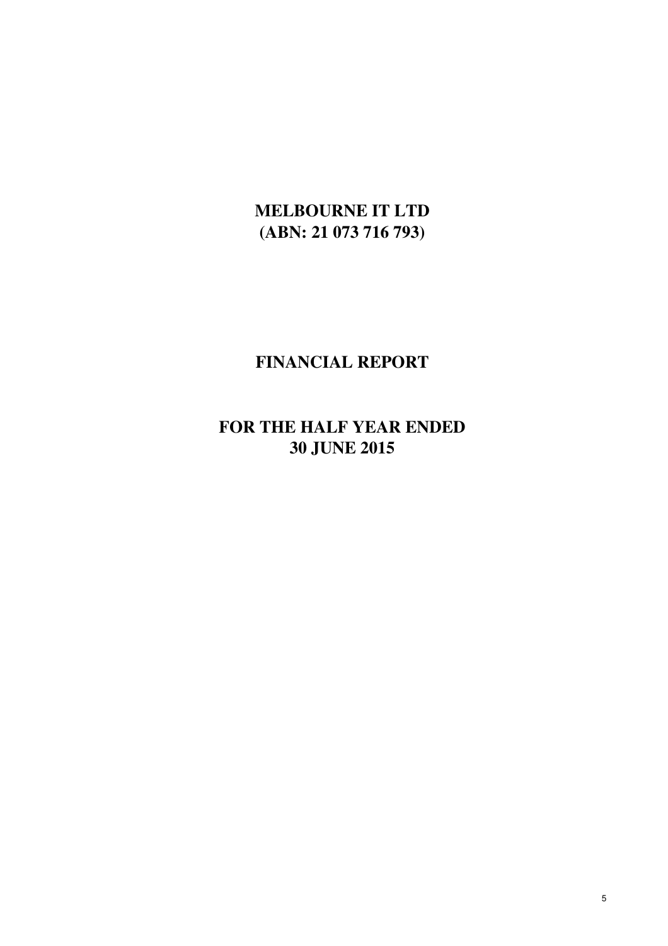# **MELBOURNE IT LTD (ABN: 21 073 716 793)**

# **FINANCIAL REPORT**

# **FOR THE HALF YEAR ENDED 30 JUNE 2015**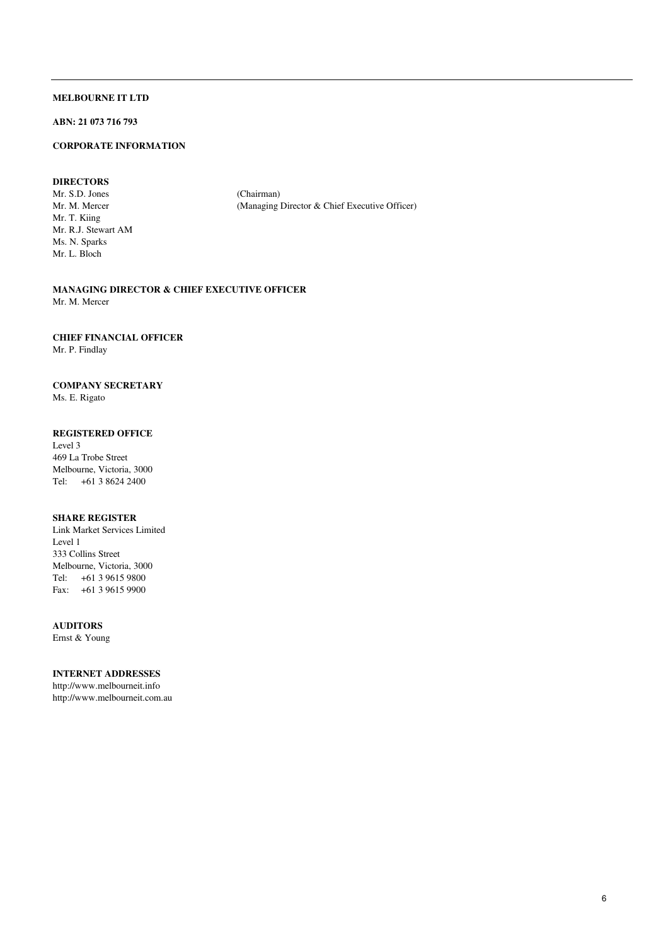## **ABN: 21 073 716 793**

#### **CORPORATE INFORMATION**

#### **DIRECTORS**

Mr. S.D. Jones (Chairman)<br>Mr. M. Mercer (Managing) Mr. T. Kiing Mr. R.J. Stewart AM Ms. N. Sparks Mr. L. Bloch

(Managing Director & Chief Executive Officer)

**MANAGING DIRECTOR & CHIEF EXECUTIVE OFFICER** Mr. M. Mercer

#### **CHIEF FINANCIAL OFFICER**

Mr. P. Findlay

#### **COMPANY SECRETARY**

Ms. E. Rigato

#### **REGISTERED OFFICE**

Level 3 469 La Trobe Street Melbourne, Victoria, 3000 Tel: +61 3 8624 2400

#### **SHARE REGISTER**

Link Market Services Limited Level 1 333 Collins Street Melbourne, Victoria, 3000 Tel: +61 3 9615 9800 Fax: +61 3 9615 9900

#### **AUDITORS**

Ernst & Young

#### **INTERNET ADDRESSES**

http://www.melbourneit.info http://www.melbourneit.com.au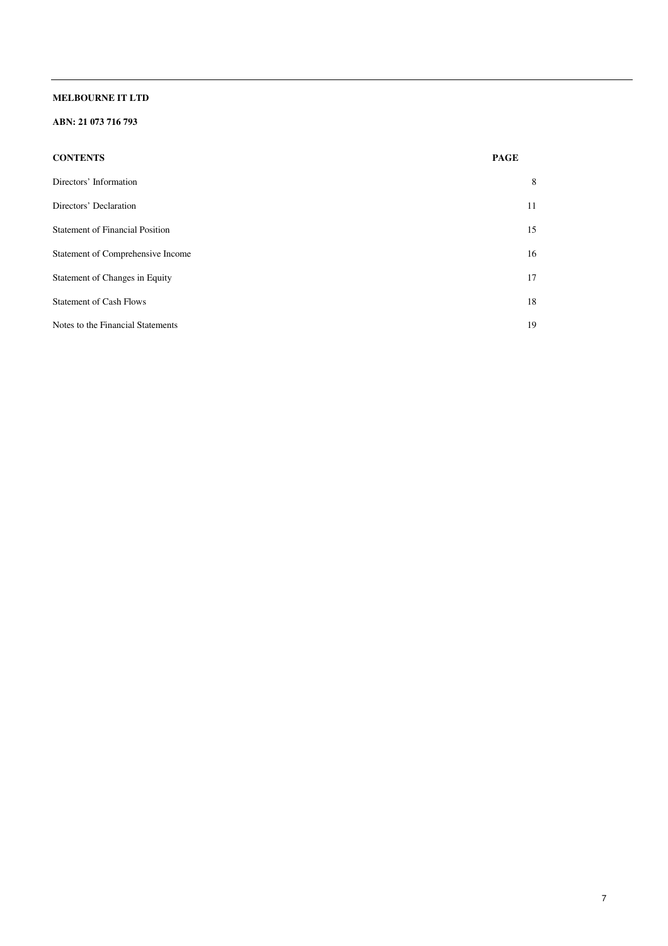## **ABN: 21 073 716 793**

| <b>CONTENTS</b>                        | <b>PAGE</b> |
|----------------------------------------|-------------|
| Directors' Information                 | 8           |
| Directors' Declaration                 | 11          |
| <b>Statement of Financial Position</b> | 15          |
| Statement of Comprehensive Income      | 16          |
| Statement of Changes in Equity         | 17          |
| <b>Statement of Cash Flows</b>         | 18          |
| Notes to the Financial Statements      | 19          |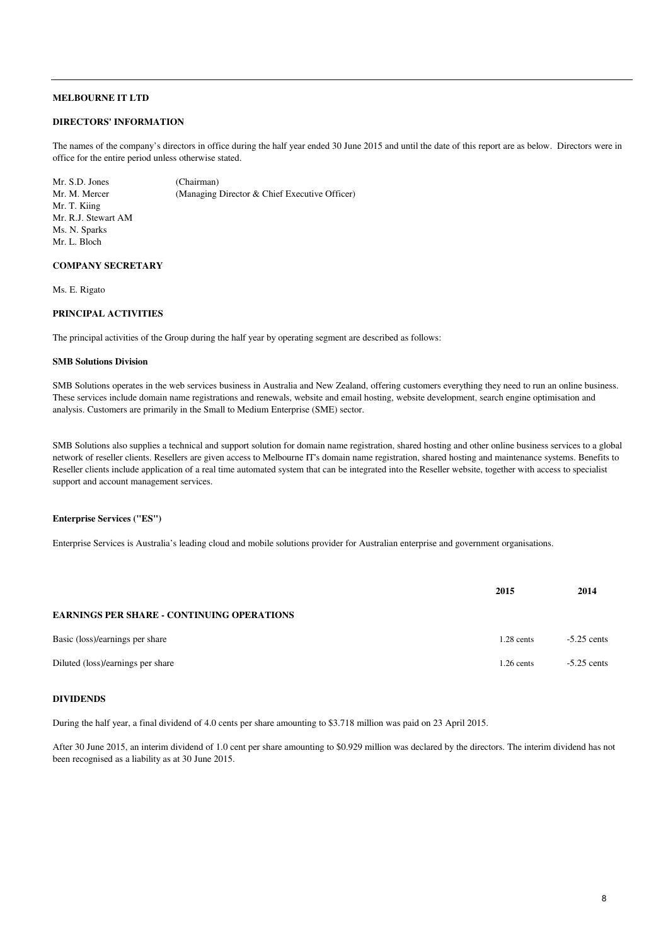#### **DIRECTORS' INFORMATION**

The names of the company's directors in office during the half year ended 30 June 2015 and until the date of this report are as below. Directors were in office for the entire period unless otherwise stated.

Mr. S.D. Jones (Chairman)<br>Mr M Mercer (Managing) (Managing Director & Chief Executive Officer) Mr. T. Kiing Mr. R.J. Stewart AM Ms. N. Sparks Mr. L. Bloch

#### **COMPANY SECRETARY**

Ms. E. Rigato

#### **PRINCIPAL ACTIVITIES**

The principal activities of the Group during the half year by operating segment are described as follows:

#### **SMB Solutions Division**

SMB Solutions operates in the web services business in Australia and New Zealand, offering customers everything they need to run an online business. These services include domain name registrations and renewals, website and email hosting, website development, search engine optimisation and analysis. Customers are primarily in the Small to Medium Enterprise (SME) sector.

SMB Solutions also supplies a technical and support solution for domain name registration, shared hosting and other online business services to a global network of reseller clients. Resellers are given access to Melbourne IT's domain name registration, shared hosting and maintenance systems. Benefits to Reseller clients include application of a real time automated system that can be integrated into the Reseller website, together with access to specialist support and account management services.

#### **Enterprise Services ("ES")**

Enterprise Services is Australia's leading cloud and mobile solutions provider for Australian enterprise and government organisations.

|                                                   | 2015         | 2014          |
|---------------------------------------------------|--------------|---------------|
| <b>EARNINGS PER SHARE - CONTINUING OPERATIONS</b> |              |               |
| Basic (loss)/earnings per share                   | $1.28$ cents | $-5.25$ cents |
| Diluted (loss)/earnings per share                 | $1.26$ cents | $-5.25$ cents |

#### **DIVIDENDS**

During the half year, a final dividend of 4.0 cents per share amounting to \$3.718 million was paid on 23 April 2015.

After 30 June 2015, an interim dividend of 1.0 cent per share amounting to \$0.929 million was declared by the directors. The interim dividend has not been recognised as a liability as at 30 June 2015.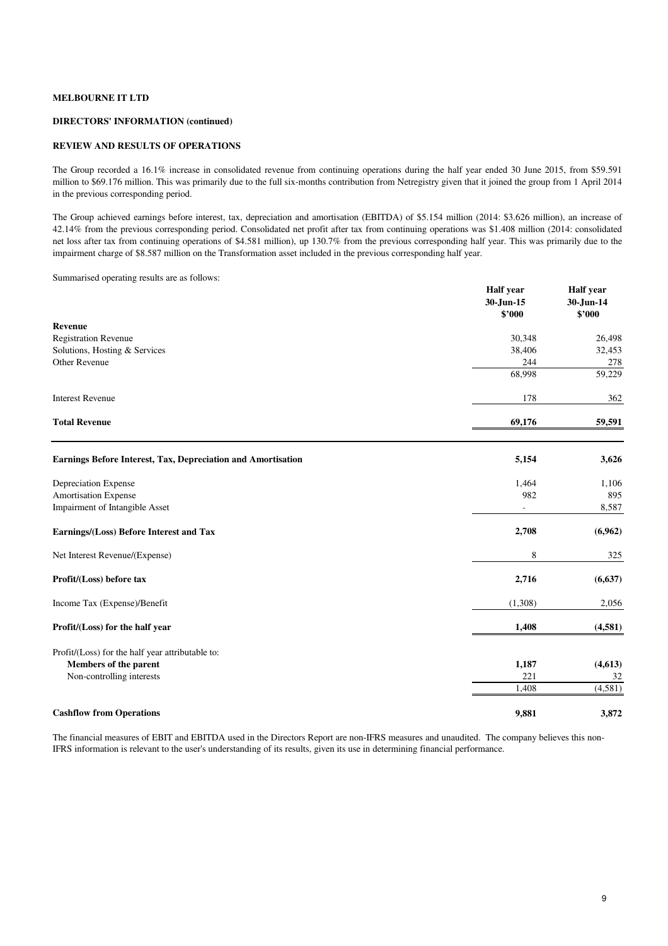#### **DIRECTORS' INFORMATION (continued)**

#### **REVIEW AND RESULTS OF OPERATIONS**

The Group recorded a 16.1% increase in consolidated revenue from continuing operations during the half year ended 30 June 2015, from \$59.591 million to \$69.176 million. This was primarily due to the full six-months contribution from Netregistry given that it joined the group from 1 April 2014 in the previous corresponding period.

The Group achieved earnings before interest, tax, depreciation and amortisation (EBITDA) of \$5.154 million (2014: \$3.626 million), an increase of 42.14% from the previous corresponding period. Consolidated net profit after tax from continuing operations was \$1.408 million (2014: consolidated net loss after tax from continuing operations of \$4.581 million), up 130.7% from the previous corresponding half year. This was primarily due to the impairment charge of \$8.587 million on the Transformation asset included in the previous corresponding half year.

Summarised operating results are as follows:

|                                                              | <b>Half</b> year<br>30-Jun-15<br>\$2000 | <b>Half</b> year<br>30-Jun-14<br>\$'000 |
|--------------------------------------------------------------|-----------------------------------------|-----------------------------------------|
| Revenue                                                      |                                         |                                         |
| <b>Registration Revenue</b>                                  | 30,348                                  | 26,498                                  |
| Solutions, Hosting & Services<br>Other Revenue               | 38,406<br>244                           | 32,453<br>278                           |
|                                                              | 68,998                                  | 59,229                                  |
| <b>Interest Revenue</b>                                      | 178                                     | 362                                     |
| <b>Total Revenue</b>                                         | 69,176                                  | 59,591                                  |
| Earnings Before Interest, Tax, Depreciation and Amortisation | 5,154                                   | 3,626                                   |
| Depreciation Expense                                         | 1,464                                   | 1,106                                   |
| <b>Amortisation Expense</b>                                  | 982                                     | 895                                     |
| Impairment of Intangible Asset                               |                                         | 8,587                                   |
| Earnings/(Loss) Before Interest and Tax                      | 2,708                                   | (6,962)                                 |
| Net Interest Revenue/(Expense)                               | 8                                       | 325                                     |
| Profit/(Loss) before tax                                     | 2,716                                   | (6, 637)                                |
| Income Tax (Expense)/Benefit                                 | (1,308)                                 | 2,056                                   |
| Profit/(Loss) for the half year                              | 1,408                                   | (4,581)                                 |
| Profit/(Loss) for the half year attributable to:             |                                         |                                         |
| Members of the parent                                        | 1,187                                   | (4,613)                                 |
| Non-controlling interests                                    | 221                                     | 32                                      |
|                                                              | 1,408                                   | (4,581)                                 |
| <b>Cashflow from Operations</b>                              | 9,881                                   | 3,872                                   |

The financial measures of EBIT and EBITDA used in the Directors Report are non-IFRS measures and unaudited. The company believes this non-IFRS information is relevant to the user's understanding of its results, given its use in determining financial performance.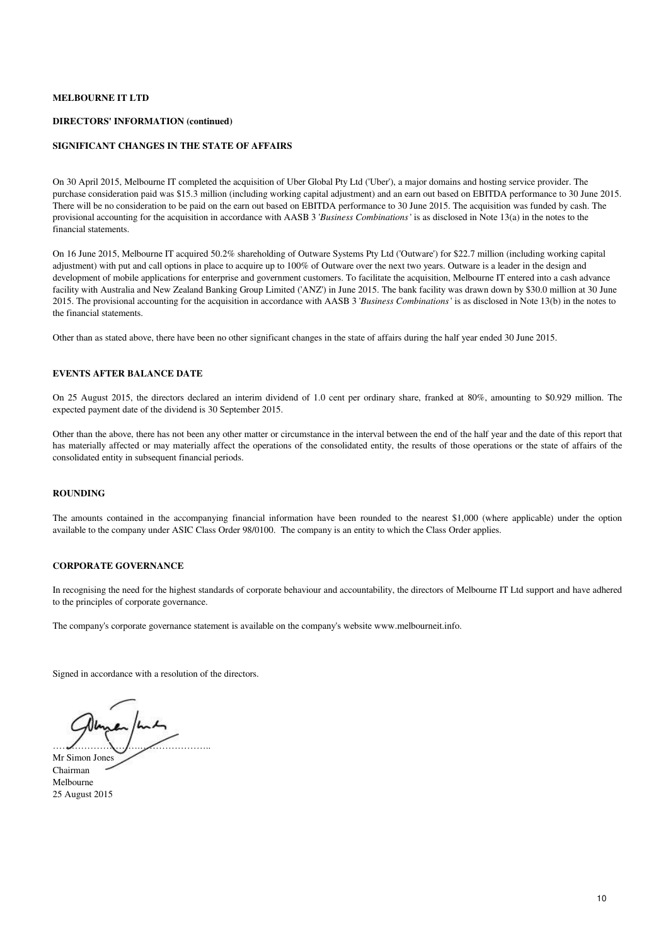#### **DIRECTORS' INFORMATION (continued)**

#### **SIGNIFICANT CHANGES IN THE STATE OF AFFAIRS**

On 30 April 2015, Melbourne IT completed the acquisition of Uber Global Pty Ltd ('Uber'), a major domains and hosting service provider. The purchase consideration paid was \$15.3 million (including working capital adjustment) and an earn out based on EBITDA performance to 30 June 2015. There will be no consideration to be paid on the earn out based on EBITDA performance to 30 June 2015. The acquisition was funded by cash. The provisional accounting for the acquisition in accordance with AASB 3 '*Business Combinations*' is as disclosed in Note 13(a) in the notes to the financial statements.

On 16 June 2015, Melbourne IT acquired 50.2% shareholding of Outware Systems Pty Ltd ('Outware') for \$22.7 million (including working capital adjustment) with put and call options in place to acquire up to 100% of Outware over the next two years. Outware is a leader in the design and development of mobile applications for enterprise and government customers. To facilitate the acquisition, Melbourne IT entered into a cash advance facility with Australia and New Zealand Banking Group Limited ('ANZ') in June 2015. The bank facility was drawn down by \$30.0 million at 30 June 2015. The provisional accounting for the acquisition in accordance with AASB 3 '*Business Combinations*' is as disclosed in Note 13(b) in the notes to the financial statements.

Other than as stated above, there have been no other significant changes in the state of affairs during the half year ended 30 June 2015.

#### **EVENTS AFTER BALANCE DATE**

On 25 August 2015, the directors declared an interim dividend of 1.0 cent per ordinary share, franked at 80%, amounting to \$0.929 million. The expected payment date of the dividend is 30 September 2015.

Other than the above, there has not been any other matter or circumstance in the interval between the end of the half year and the date of this report that has materially affected or may materially affect the operations of the consolidated entity, the results of those operations or the state of affairs of the consolidated entity in subsequent financial periods.

#### **ROUNDING**

The amounts contained in the accompanying financial information have been rounded to the nearest \$1,000 (where applicable) under the option available to the company under ASIC Class Order 98/0100. The company is an entity to which the Class Order applies.

#### **CORPORATE GOVERNANCE**

In recognising the need for the highest standards of corporate behaviour and accountability, the directors of Melbourne IT Ltd support and have adhered to the principles of corporate governance.

The company's corporate governance statement is available on the company's website www.melbourneit.info.

Signed in accordance with a resolution of the directors.

……………………….………………….. Mr Simon Jones

Chairman Melbourne 25 August 2015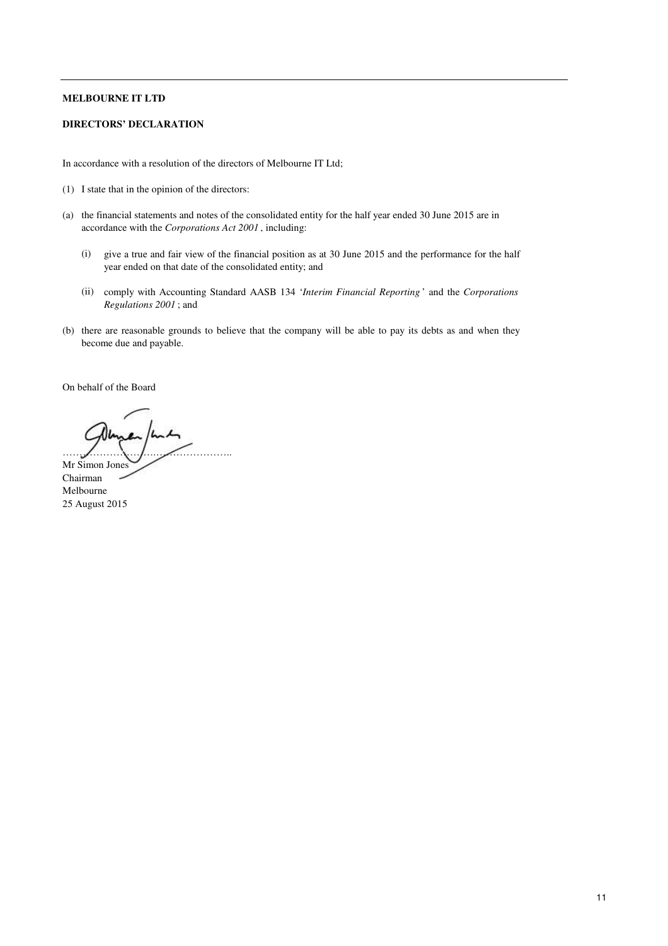#### **DIRECTORS' DECLARATION**

In accordance with a resolution of the directors of Melbourne IT Ltd;

- (1) I state that in the opinion of the directors:
- (a) the financial statements and notes of the consolidated entity for the half year ended 30 June 2015 are in accordance with the *Corporations Act 2001* , including:
	- (i) give a true and fair view of the financial position as at 30 June 2015 and the performance for the half year ended on that date of the consolidated entity; and
	- (ii) comply with Accounting Standard AASB 134 '*Interim Financial Reporting* ' and the *Corporations Regulations 2001* ; and
- (b) there are reasonable grounds to believe that the company will be able to pay its debts as and when they become due and payable.

On behalf of the Board

……………………….………………….. Mr Simon Jones Chairman Melbourne 25 August 2015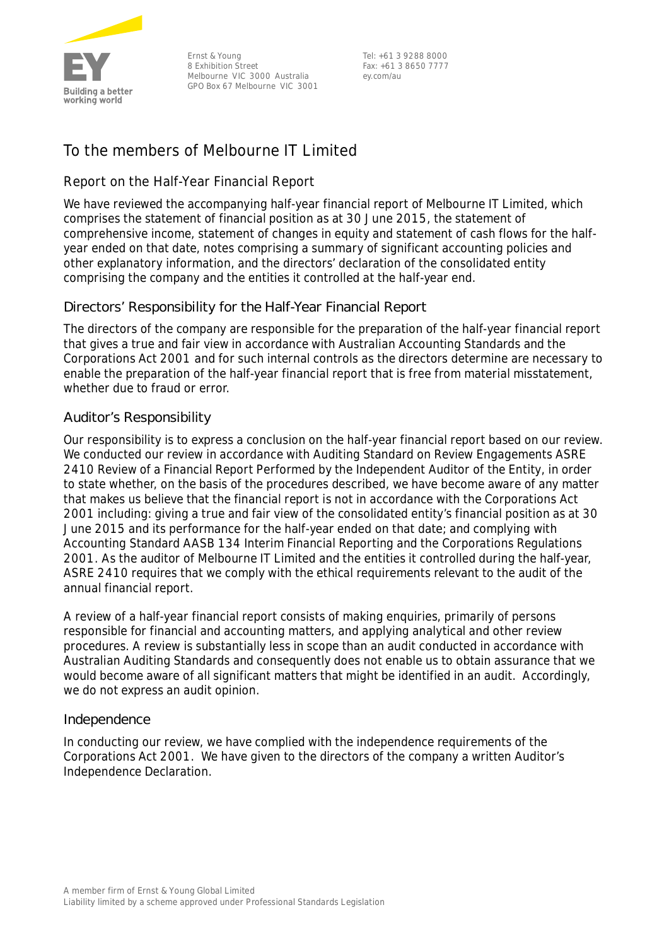

Ernst & Young 8 Exhibition Street Melbourne VIC 3000 Australia GPO Box 67 Melbourne VIC 3001

Tel: +61 3 9288 8000 Fax: +61 3 8650 7777 ey.com/au

## **To the members of Melbourne IT Limited**

## **Report on the Half-Year Financial Report**

We have reviewed the accompanying half-year financial report of Melbourne IT Limited, which comprises the statement of financial position as at 30 June 2015, the statement of comprehensive income, statement of changes in equity and statement of cash flows for the halfyear ended on that date, notes comprising a summary of significant accounting policies and other explanatory information, and the directors' declaration of the consolidated entity comprising the company and the entities it controlled at the half-year end.

## Directors' Responsibility for the Half-Year Financial Report

The directors of the company are responsible for the preparation of the half-year financial report that gives a true and fair view in accordance with Australian Accounting Standards and the *Corporations Act 2001* and for such internal controls as the directors determine are necessary to enable the preparation of the half-year financial report that is free from material misstatement, whether due to fraud or error.

## Auditor's Responsibility

Our responsibility is to express a conclusion on the half-year financial report based on our review. We conducted our review in accordance with Auditing Standard on Review Engagements ASRE 2410 *Review of a Financial Report Performed by the Independent Auditor of the Entity*, in order to state whether, on the basis of the procedures described, we have become aware of any matter that makes us believe that the financial report is not in accordance with the *Corporations Act 2001* including: giving a true and fair view of the consolidated entity's financial position as at 30 June 2015 and its performance for the half-year ended on that date; and complying with Accounting Standard AASB 134 *Interim Financial Reporting* and the *Corporations Regulations 2001*. As the auditor of Melbourne IT Limited and the entities it controlled during the half-year, ASRE 2410 requires that we comply with the ethical requirements relevant to the audit of the annual financial report.

A review of a half-year financial report consists of making enquiries, primarily of persons responsible for financial and accounting matters, and applying analytical and other review procedures. A review is substantially less in scope than an audit conducted in accordance with Australian Auditing Standards and consequently does not enable us to obtain assurance that we would become aware of all significant matters that might be identified in an audit. Accordingly, we do not express an audit opinion.

## Independence

In conducting our review, we have complied with the independence requirements of the *Corporations Act 2001*. We have given to the directors of the company a written Auditor's Independence Declaration.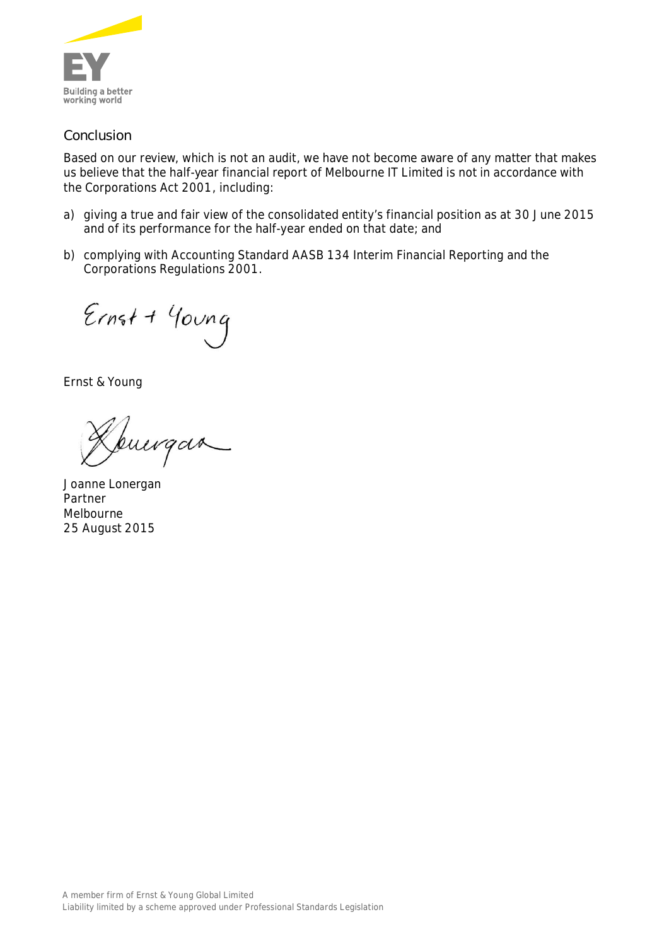

## Conclusion

Based on our review, which is not an audit, we have not become aware of any matter that makes us believe that the half-year financial report of Melbourne IT Limited is not in accordance with the *Corporations Act 2001*, including:

- a) giving a true and fair view of the consolidated entity's financial position as at 30 June 2015 and of its performance for the half-year ended on that date; and
- b) complying with Accounting Standard AASB 134 *Interim Financial Reporting* and the *Corporations Regulations 2001*.

 $Ernst + 400ng$ 

Ernst & Young

puirgan

Joanne Lonergan Partner Melbourne 25 August 2015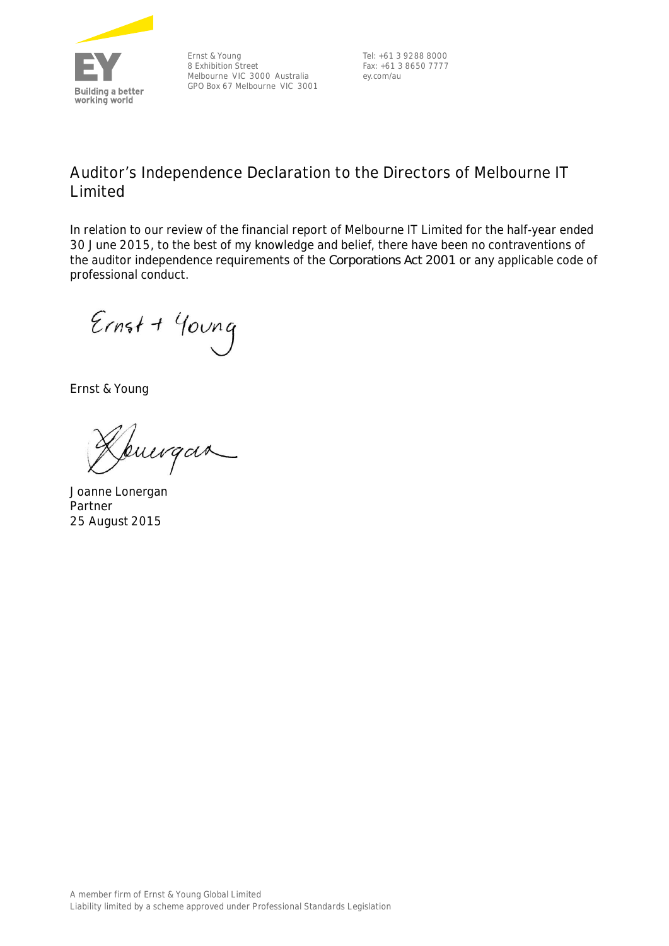

Ernst & Young 8 Exhibition Street Melbourne VIC 3000 Australia GPO Box 67 Melbourne VIC 3001

Tel: +61 3 9288 8000 Fax: +61 3 8650 7777 ey.com/au

## **Auditor's Independence Declaration to the Directors of Melbourne IT Limited**

In relation to our review of the financial report of Melbourne IT Limited for the half-year ended 30 June 2015, to the best of my knowledge and belief, there have been no contraventions of the auditor independence requirements of the *Corporations Act 2001* or any applicable code of professional conduct.

 $Ernst + 400ng$ 

Ernst & Young

buergan

Joanne Lonergan Partner 25 August 2015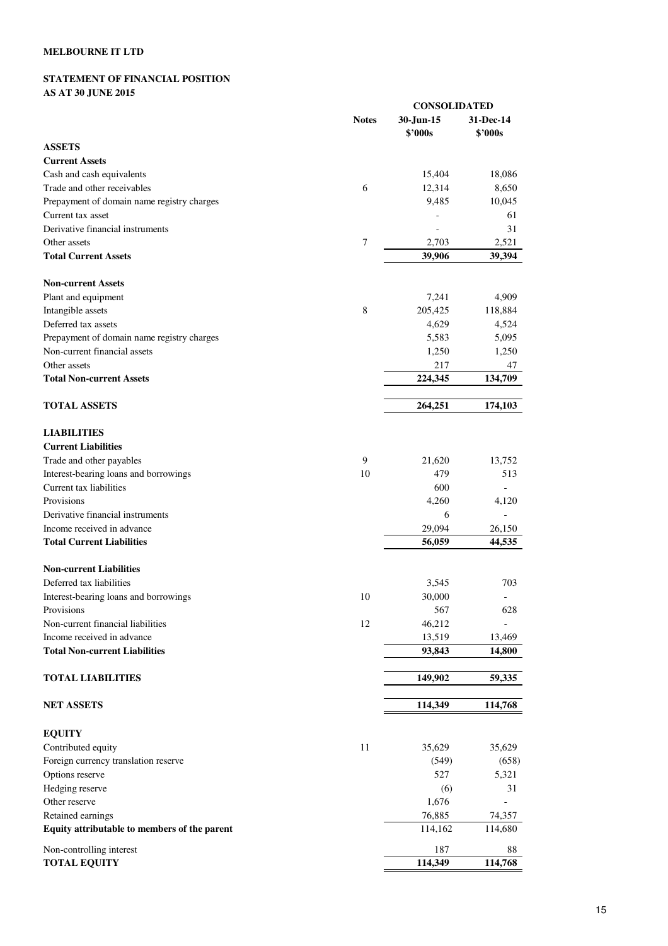## **STATEMENT OF FINANCIAL POSITION AS AT 30 JUNE 2015**

|                                              | <b>CONSOLIDATED</b> |                      |                      |  |
|----------------------------------------------|---------------------|----------------------|----------------------|--|
|                                              | <b>Notes</b>        | 30-Jun-15<br>\$'000s | 31-Dec-14<br>\$'000s |  |
| <b>ASSETS</b>                                |                     |                      |                      |  |
| <b>Current Assets</b>                        |                     |                      |                      |  |
| Cash and cash equivalents                    |                     | 15,404               | 18,086               |  |
| Trade and other receivables                  | 6                   | 12,314               | 8,650                |  |
| Prepayment of domain name registry charges   |                     | 9,485                | 10,045               |  |
| Current tax asset                            |                     |                      | 61                   |  |
| Derivative financial instruments             |                     |                      | 31                   |  |
| Other assets                                 | $\tau$              | 2,703                | 2,521                |  |
| <b>Total Current Assets</b>                  |                     | 39,906               | 39,394               |  |
| <b>Non-current Assets</b>                    |                     |                      |                      |  |
| Plant and equipment                          |                     | 7,241                | 4,909                |  |
| Intangible assets                            | 8                   | 205,425              | 118,884              |  |
| Deferred tax assets                          |                     | 4,629                | 4,524                |  |
| Prepayment of domain name registry charges   |                     | 5,583                | 5,095                |  |
| Non-current financial assets                 |                     | 1,250                | 1,250                |  |
| Other assets                                 |                     | 217                  | 47                   |  |
| <b>Total Non-current Assets</b>              |                     | 224,345              | 134,709              |  |
| <b>TOTAL ASSETS</b>                          |                     | 264,251              | 174,103              |  |
| <b>LIABILITIES</b>                           |                     |                      |                      |  |
| <b>Current Liabilities</b>                   |                     |                      |                      |  |
| Trade and other payables                     | 9                   | 21,620               | 13,752               |  |
| Interest-bearing loans and borrowings        | 10                  | 479                  | 513                  |  |
| Current tax liabilities                      |                     | 600                  |                      |  |
| Provisions                                   |                     | 4,260                | 4,120                |  |
| Derivative financial instruments             |                     | 6                    |                      |  |
| Income received in advance                   |                     | 29,094               | 26,150               |  |
| <b>Total Current Liabilities</b>             |                     | 56,059               | 44,535               |  |
| <b>Non-current Liabilities</b>               |                     |                      |                      |  |
| Deferred tax liabilities                     |                     | 3,545                | 703                  |  |
| Interest-bearing loans and borrowings        | 10                  | 30,000               |                      |  |
| Provisions                                   |                     | 567                  | 628                  |  |
| Non-current financial liabilities            | 12                  | 46,212               |                      |  |
| Income received in advance                   |                     | 13,519               | 13,469               |  |
| <b>Total Non-current Liabilities</b>         |                     | 93,843               | 14,800               |  |
| <b>TOTAL LIABILITIES</b>                     |                     | 149,902              | 59,335               |  |
| <b>NET ASSETS</b>                            |                     | 114,349              | 114,768              |  |
| <b>EQUITY</b>                                |                     |                      |                      |  |
| Contributed equity                           | 11                  | 35,629               | 35,629               |  |
| Foreign currency translation reserve         |                     | (549)                | (658)                |  |
| Options reserve                              |                     | 527                  | 5,321                |  |
| Hedging reserve                              |                     | (6)                  | 31                   |  |
| Other reserve                                |                     | 1,676                |                      |  |
| Retained earnings                            |                     | 76,885               | 74,357               |  |
| Equity attributable to members of the parent |                     | 114,162              | 114,680              |  |
| Non-controlling interest                     |                     | 187                  | 88                   |  |
| <b>TOTAL EQUITY</b>                          |                     | 114,349              | 114,768              |  |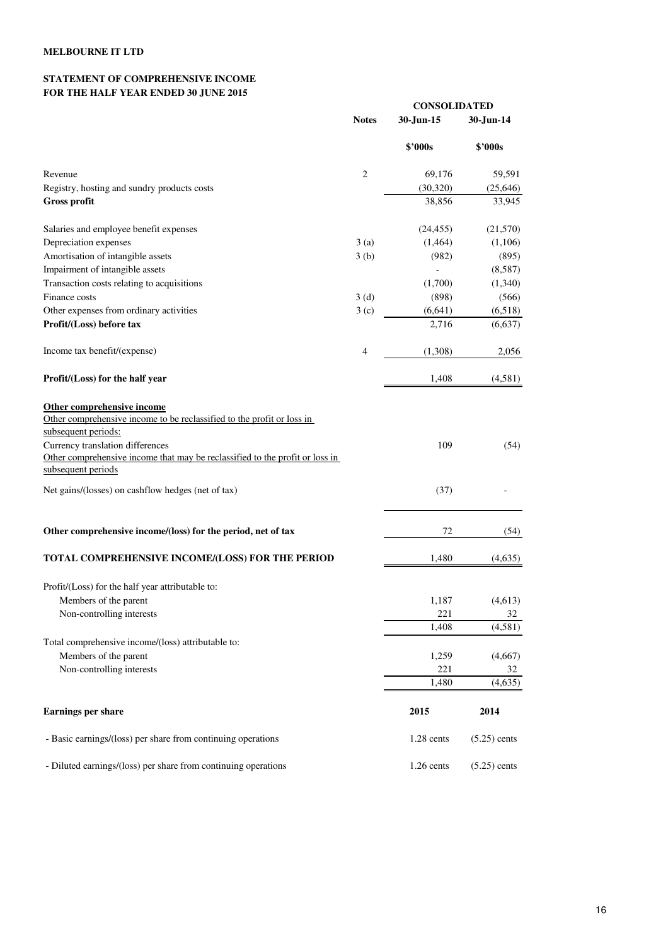## **STATEMENT OF COMPREHENSIVE INCOME FOR THE HALF YEAR ENDED 30 JUNE 2015**

|                                                                                                                                                                                                                                                 |                | <b>CONSOLIDATED</b> |                |  |  |
|-------------------------------------------------------------------------------------------------------------------------------------------------------------------------------------------------------------------------------------------------|----------------|---------------------|----------------|--|--|
|                                                                                                                                                                                                                                                 | <b>Notes</b>   | 30-Jun-15           | 30-Jun-14      |  |  |
|                                                                                                                                                                                                                                                 |                | <b>\$'000s</b>      | \$2000s        |  |  |
| Revenue                                                                                                                                                                                                                                         | $\mathfrak{2}$ | 69,176              | 59,591         |  |  |
| Registry, hosting and sundry products costs                                                                                                                                                                                                     |                | (30, 320)           | (25, 646)      |  |  |
| <b>Gross profit</b>                                                                                                                                                                                                                             |                | 38,856              | 33,945         |  |  |
| Salaries and employee benefit expenses                                                                                                                                                                                                          |                | (24, 455)           | (21,570)       |  |  |
| Depreciation expenses                                                                                                                                                                                                                           | 3(a)           | (1,464)             | (1,106)        |  |  |
| Amortisation of intangible assets                                                                                                                                                                                                               | 3(b)           | (982)               | (895)          |  |  |
| Impairment of intangible assets                                                                                                                                                                                                                 |                |                     | (8,587)        |  |  |
| Transaction costs relating to acquisitions                                                                                                                                                                                                      |                | (1,700)             | (1,340)        |  |  |
| Finance costs                                                                                                                                                                                                                                   | 3(d)           | (898)               | (566)          |  |  |
| Other expenses from ordinary activities                                                                                                                                                                                                         | 3(c)           | (6,641)             | (6,518)        |  |  |
| Profit/(Loss) before tax                                                                                                                                                                                                                        |                | 2,716               | (6,637)        |  |  |
| Income tax benefit/(expense)                                                                                                                                                                                                                    | 4              | (1,308)             | 2,056          |  |  |
| Profit/(Loss) for the half year                                                                                                                                                                                                                 |                | 1,408               | (4,581)        |  |  |
| Other comprehensive income<br>Other comprehensive income to be reclassified to the profit or loss in<br>subsequent periods:<br>Currency translation differences<br>Other comprehensive income that may be reclassified to the profit or loss in |                | 109                 | (54)           |  |  |
| subsequent periods<br>Net gains/(losses) on cashflow hedges (net of tax)                                                                                                                                                                        |                | (37)                |                |  |  |
| Other comprehensive income/(loss) for the period, net of tax                                                                                                                                                                                    |                | 72                  | (54)           |  |  |
| TOTAL COMPREHENSIVE INCOME/(LOSS) FOR THE PERIOD                                                                                                                                                                                                |                | 1,480               | (4,635)        |  |  |
| Profit/(Loss) for the half year attributable to:                                                                                                                                                                                                |                |                     |                |  |  |
| Members of the parent                                                                                                                                                                                                                           |                | 1,187               | (4,613)        |  |  |
| Non-controlling interests                                                                                                                                                                                                                       |                | 221                 | 32             |  |  |
|                                                                                                                                                                                                                                                 |                | 1,408               | (4,581)        |  |  |
| Total comprehensive income/(loss) attributable to:                                                                                                                                                                                              |                |                     |                |  |  |
| Members of the parent                                                                                                                                                                                                                           |                | 1,259               | (4,667)        |  |  |
| Non-controlling interests                                                                                                                                                                                                                       |                | 221                 | 32             |  |  |
|                                                                                                                                                                                                                                                 |                | 1,480               | (4,635)        |  |  |
| Earnings per share                                                                                                                                                                                                                              |                | 2015                | 2014           |  |  |
| - Basic earnings/(loss) per share from continuing operations                                                                                                                                                                                    |                | 1.28 cents          | $(5.25)$ cents |  |  |
| - Diluted earnings/(loss) per share from continuing operations                                                                                                                                                                                  |                | 1.26 cents          | $(5.25)$ cents |  |  |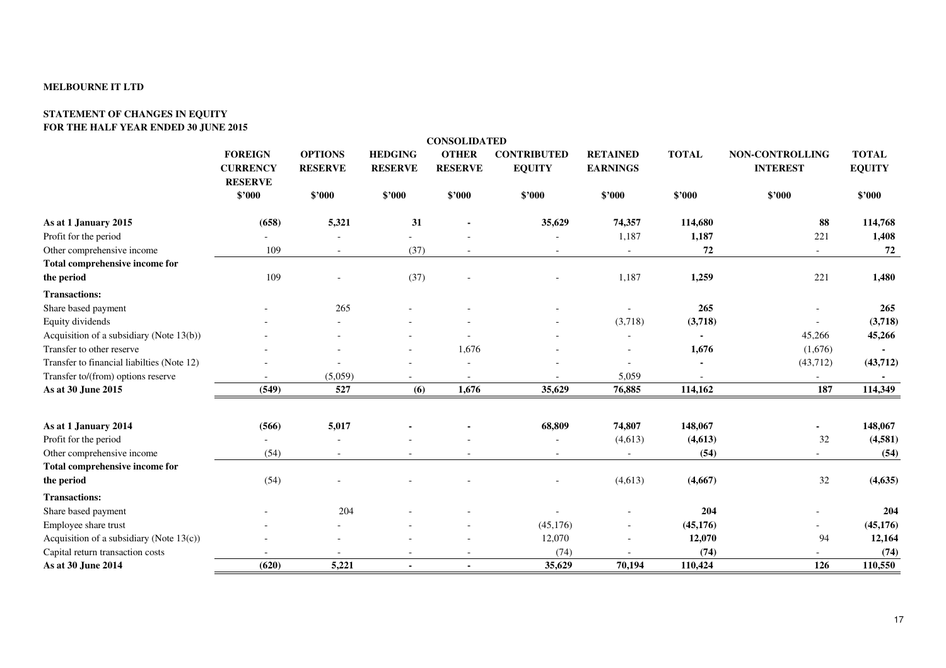#### **STATEMENT OF CHANGES IN EQUITY FOR THE HALF YEAR ENDED 30 JUNE 2015**

|                                             |                                                     |                                  |                                  | <b>CONSOLIDATED</b>            |                                     |                                    |              |                                    |                               |
|---------------------------------------------|-----------------------------------------------------|----------------------------------|----------------------------------|--------------------------------|-------------------------------------|------------------------------------|--------------|------------------------------------|-------------------------------|
|                                             | <b>FOREIGN</b><br><b>CURRENCY</b><br><b>RESERVE</b> | <b>OPTIONS</b><br><b>RESERVE</b> | <b>HEDGING</b><br><b>RESERVE</b> | <b>OTHER</b><br><b>RESERVE</b> | <b>CONTRIBUTED</b><br><b>EQUITY</b> | <b>RETAINED</b><br><b>EARNINGS</b> | <b>TOTAL</b> | NON-CONTROLLING<br><b>INTEREST</b> | <b>TOTAL</b><br><b>EQUITY</b> |
|                                             | \$'000                                              | \$'000                           | \$'000                           | \$'000                         | \$'000                              | \$'000                             | \$'000       | \$'000                             | \$'000                        |
| As at 1 January 2015                        | (658)                                               | 5,321                            | 31                               |                                | 35,629                              | 74,357                             | 114,680      | 88                                 | 114,768                       |
| Profit for the period                       |                                                     |                                  |                                  |                                |                                     | 1,187                              | 1,187        | 221                                | 1,408                         |
| Other comprehensive income                  | 109                                                 |                                  | (37)                             |                                |                                     | $\blacksquare$                     | 72           |                                    | 72                            |
| Total comprehensive income for              |                                                     |                                  |                                  |                                |                                     |                                    |              |                                    |                               |
| the period                                  | 109                                                 |                                  | (37)                             |                                |                                     | 1,187                              | 1,259        | 221                                | 1,480                         |
| <b>Transactions:</b>                        |                                                     |                                  |                                  |                                |                                     |                                    |              |                                    |                               |
| Share based payment                         |                                                     | 265                              |                                  |                                |                                     |                                    | 265          |                                    | 265                           |
| Equity dividends                            |                                                     |                                  |                                  |                                |                                     | (3,718)                            | (3,718)      |                                    | (3,718)                       |
| Acquisition of a subsidiary (Note 13(b))    |                                                     |                                  |                                  |                                |                                     |                                    |              | 45,266                             | 45,266                        |
| Transfer to other reserve                   |                                                     |                                  |                                  | 1,676                          |                                     |                                    | 1,676        | (1,676)                            |                               |
| Transfer to financial liabilties (Note 12)  |                                                     |                                  |                                  |                                |                                     | $\sim$                             |              | (43,712)                           | (43,712)                      |
| Transfer to/(from) options reserve          |                                                     | (5,059)                          |                                  |                                |                                     | 5,059                              |              |                                    |                               |
| As at 30 June 2015                          | (549)                                               | 527                              | (6)                              | 1,676                          | 35,629                              | 76,885                             | 114,162      | 187                                | 114,349                       |
| As at 1 January 2014                        | (566)                                               | 5,017                            |                                  |                                | 68,809                              | 74,807                             | 148,067      | $\blacksquare$                     | 148,067                       |
| Profit for the period                       |                                                     |                                  |                                  |                                |                                     | (4,613)                            | (4, 613)     | 32                                 | (4,581)                       |
| Other comprehensive income                  | (54)                                                |                                  |                                  |                                | $\sim$                              | $\sim$                             | (54)         | $\sim$                             | (54)                          |
| Total comprehensive income for              |                                                     |                                  |                                  |                                |                                     |                                    |              |                                    |                               |
| the period                                  | (54)                                                |                                  |                                  |                                |                                     | (4,613)                            | (4,667)      | 32                                 | (4, 635)                      |
| <b>Transactions:</b>                        |                                                     |                                  |                                  |                                |                                     |                                    |              |                                    |                               |
| Share based payment                         |                                                     | 204                              |                                  |                                |                                     |                                    | 204          |                                    | 204                           |
| Employee share trust                        |                                                     |                                  |                                  |                                | (45, 176)                           |                                    | (45, 176)    |                                    | (45, 176)                     |
| Acquisition of a subsidiary (Note $13(c)$ ) |                                                     |                                  |                                  |                                | 12,070                              |                                    | 12,070       | 94                                 | 12,164                        |
| Capital return transaction costs            |                                                     |                                  |                                  |                                | (74)                                |                                    | (74)         |                                    | (74)                          |
| As at 30 June 2014                          | (620)                                               | 5,221                            |                                  |                                | 35,629                              | 70,194                             | 110,424      | 126                                | 110,550                       |
|                                             |                                                     |                                  |                                  |                                |                                     |                                    |              |                                    |                               |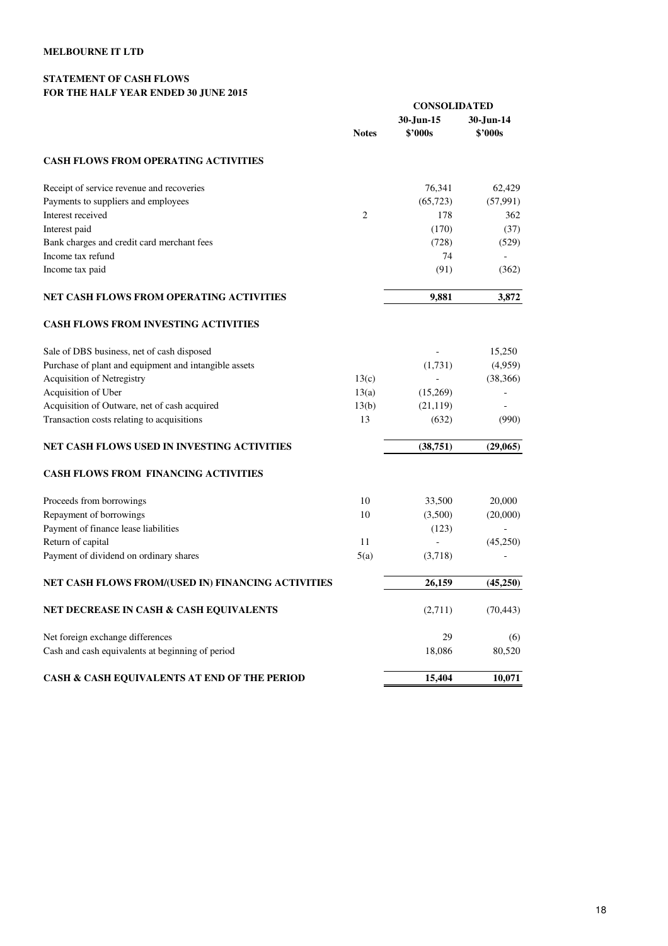#### **STATEMENT OF CASH FLOWS FOR THE HALF YEAR ENDED 30 JUNE 2015**

|                                                       |                | <b>CONSOLIDATED</b>  |                      |
|-------------------------------------------------------|----------------|----------------------|----------------------|
|                                                       | <b>Notes</b>   | 30-Jun-15<br>\$'000s | 30-Jun-14<br>\$'000s |
| <b>CASH FLOWS FROM OPERATING ACTIVITIES</b>           |                |                      |                      |
| Receipt of service revenue and recoveries             |                | 76,341               | 62,429               |
| Payments to suppliers and employees                   |                | (65, 723)            | (57,991)             |
| Interest received                                     | $\overline{2}$ | 178                  | 362                  |
| Interest paid                                         |                | (170)                | (37)                 |
| Bank charges and credit card merchant fees            |                | (728)                | (529)                |
| Income tax refund                                     |                | 74                   |                      |
| Income tax paid                                       |                | (91)                 | (362)                |
| NET CASH FLOWS FROM OPERATING ACTIVITIES              |                | 9,881                | 3,872                |
| <b>CASH FLOWS FROM INVESTING ACTIVITIES</b>           |                |                      |                      |
| Sale of DBS business, net of cash disposed            |                |                      | 15,250               |
| Purchase of plant and equipment and intangible assets |                | (1,731)              | (4,959)              |
| <b>Acquisition of Netregistry</b>                     | 13(c)          |                      | (38, 366)            |
| Acquisition of Uber                                   | 13(a)          | (15,269)             |                      |
| Acquisition of Outware, net of cash acquired          | 13(b)          | (21, 119)            |                      |
| Transaction costs relating to acquisitions            | 13             | (632)                | (990)                |
| NET CASH FLOWS USED IN INVESTING ACTIVITIES           |                | (38,751)             | (29,065)             |
| <b>CASH FLOWS FROM FINANCING ACTIVITIES</b>           |                |                      |                      |
| Proceeds from borrowings                              | 10             | 33,500               | 20,000               |
| Repayment of borrowings                               | 10             | (3,500)              | (20,000)             |
| Payment of finance lease liabilities                  |                | (123)                |                      |
| Return of capital                                     | 11             |                      | (45,250)             |
| Payment of dividend on ordinary shares                | 5(a)           | (3,718)              |                      |
| NET CASH FLOWS FROM/(USED IN) FINANCING ACTIVITIES    |                | 26,159               | (45,250)             |
| NET DECREASE IN CASH & CASH EQUIVALENTS               |                | (2,711)              | (70, 443)            |
| Net foreign exchange differences                      |                | 29                   | (6)                  |
| Cash and cash equivalents at beginning of period      |                | 18,086               | 80,520               |
| CASH & CASH EQUIVALENTS AT END OF THE PERIOD          |                | 15,404               | 10,071               |
|                                                       |                |                      |                      |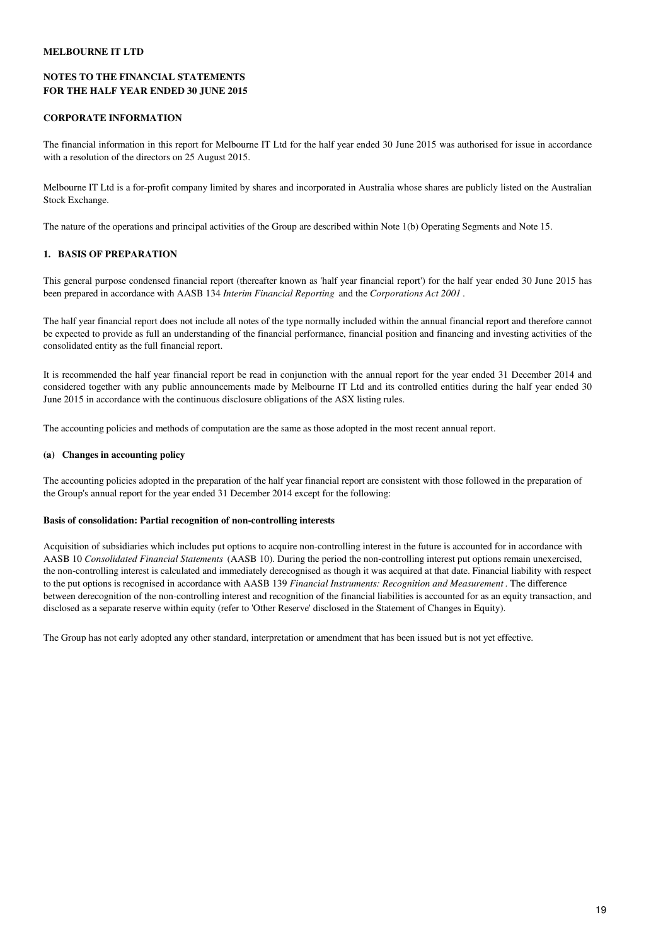#### **NOTES TO THE FINANCIAL STATEMENTS FOR THE HALF YEAR ENDED 30 JUNE 2015**

#### **CORPORATE INFORMATION**

The financial information in this report for Melbourne IT Ltd for the half year ended 30 June 2015 was authorised for issue in accordance with a resolution of the directors on 25 August 2015.

Melbourne IT Ltd is a for-profit company limited by shares and incorporated in Australia whose shares are publicly listed on the Australian Stock Exchange.

The nature of the operations and principal activities of the Group are described within Note 1(b) Operating Segments and Note 15.

## **1. BASIS OF PREPARATION**

This general purpose condensed financial report (thereafter known as 'half year financial report') for the half year ended 30 June 2015 has been prepared in accordance with AASB 134 *Interim Financial Reporting* and the *Corporations Act 2001* .

The half year financial report does not include all notes of the type normally included within the annual financial report and therefore cannot be expected to provide as full an understanding of the financial performance, financial position and financing and investing activities of the consolidated entity as the full financial report.

It is recommended the half year financial report be read in conjunction with the annual report for the year ended 31 December 2014 and considered together with any public announcements made by Melbourne IT Ltd and its controlled entities during the half year ended 30 June 2015 in accordance with the continuous disclosure obligations of the ASX listing rules.

The accounting policies and methods of computation are the same as those adopted in the most recent annual report.

#### **(a) Changes in accounting policy**

The accounting policies adopted in the preparation of the half year financial report are consistent with those followed in the preparation of the Group's annual report for the year ended 31 December 2014 except for the following:

#### **Basis of consolidation: Partial recognition of non-controlling interests**

Acquisition of subsidiaries which includes put options to acquire non-controlling interest in the future is accounted for in accordance with AASB 10 *Consolidated Financial Statements* (AASB 10). During the period the non-controlling interest put options remain unexercised, the non-controlling interest is calculated and immediately derecognised as though it was acquired at that date. Financial liability with respect to the put options is recognised in accordance with AASB 139 *Financial Instruments: Recognition and Measurement* . The difference between derecognition of the non-controlling interest and recognition of the financial liabilities is accounted for as an equity transaction, and disclosed as a separate reserve within equity (refer to 'Other Reserve' disclosed in the Statement of Changes in Equity).

The Group has not early adopted any other standard, interpretation or amendment that has been issued but is not yet effective.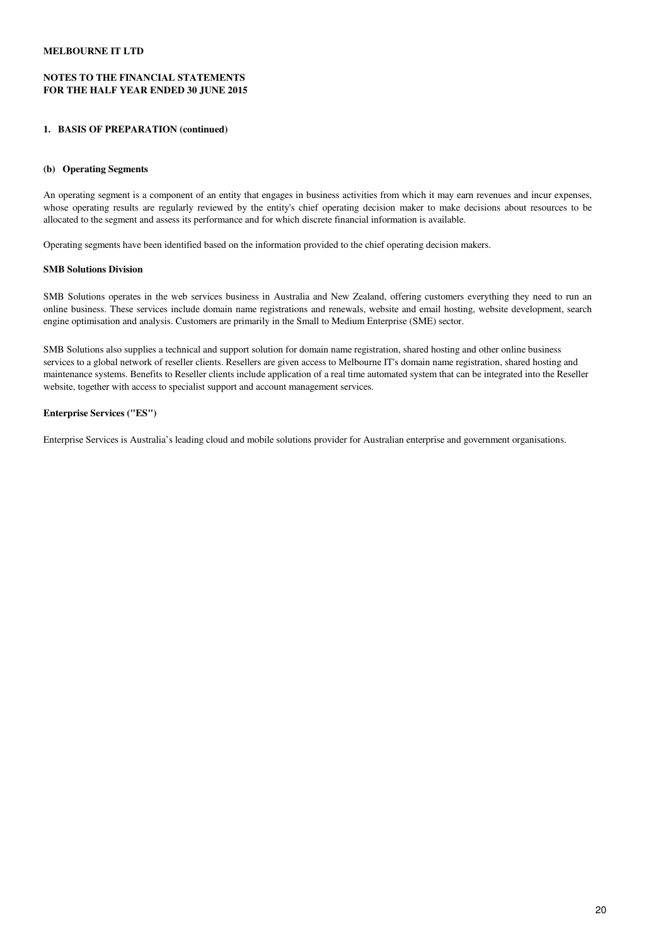#### **NOTES TO THE FINANCIAL STATEMENTS FOR THE HALF YEAR ENDED 30 JUNE 2015**

#### **1. BASIS OF PREPARATION (continued)**

#### **(b) Operating Segments**

An operating segment is a component of an entity that engages in business activities from which it may earn revenues and incur expenses, whose operating results are regularly reviewed by the entity's chief operating decision maker to make decisions about resources to be allocated to the segment and assess its performance and for which discrete financial information is available.

Operating segments have been identified based on the information provided to the chief operating decision makers.

#### **SMB Solutions Division**

SMB Solutions operates in the web services business in Australia and New Zealand, offering customers everything they need to run an online business. These services include domain name registrations and renewals, website and email hosting, website development, search engine optimisation and analysis. Customers are primarily in the Small to Medium Enterprise (SME) sector.

SMB Solutions also supplies a technical and support solution for domain name registration, shared hosting and other online business services to a global network of reseller clients. Resellers are given access to Melbourne IT's domain name registration, shared hosting and maintenance systems. Benefits to Reseller clients include application of a real time automated system that can be integrated into the Reseller website, together with access to specialist support and account management services.

#### **Enterprise Services ("ES")**

Enterprise Services is Australia's leading cloud and mobile solutions provider for Australian enterprise and government organisations.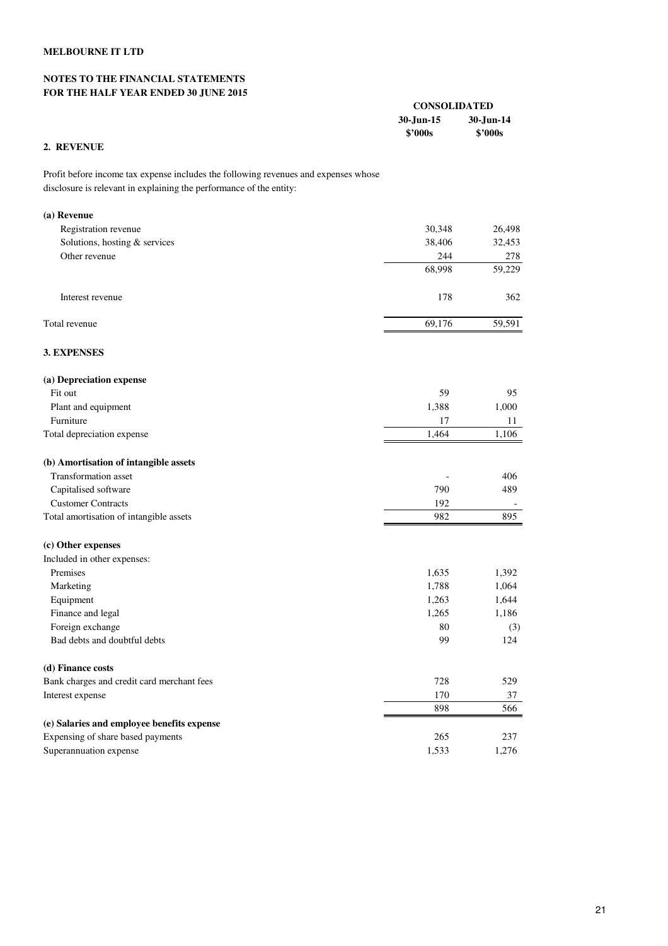#### **NOTES TO THE FINANCIAL STATEMENTS FOR THE HALF YEAR ENDED 30 JUNE 2015**

| <b>CONSOLIDATED</b> |           |
|---------------------|-----------|
| 30-Jun-15           | 30-Jun-14 |
| \$2000s             | \$2000s   |

## **2. REVENUE**

Profit before income tax expense includes the following revenues and expenses whose disclosure is relevant in explaining the performance of the entity:

| (a) Revenue                                |        |        |
|--------------------------------------------|--------|--------|
| Registration revenue                       | 30,348 | 26,498 |
| Solutions, hosting & services              | 38,406 | 32,453 |
| Other revenue                              | 244    | 278    |
|                                            | 68,998 | 59,229 |
| Interest revenue                           | 178    | 362    |
| Total revenue                              | 69,176 | 59,591 |
| <b>3. EXPENSES</b>                         |        |        |
| (a) Depreciation expense                   |        |        |
| Fit out                                    | 59     | 95     |
| Plant and equipment                        | 1,388  | 1,000  |
| Furniture                                  | 17     | 11     |
| Total depreciation expense                 | 1,464  | 1,106  |
| (b) Amortisation of intangible assets      |        |        |
| <b>Transformation</b> asset                |        | 406    |
| Capitalised software                       | 790    | 489    |
| <b>Customer Contracts</b>                  | 192    |        |
| Total amortisation of intangible assets    | 982    | 895    |
| (c) Other expenses                         |        |        |
| Included in other expenses:                |        |        |
| Premises                                   | 1,635  | 1,392  |
| Marketing                                  | 1,788  | 1,064  |
| Equipment                                  | 1,263  | 1,644  |
| Finance and legal                          | 1,265  | 1,186  |
| Foreign exchange                           | 80     | (3)    |
| Bad debts and doubtful debts               | 99     | 124    |
| (d) Finance costs                          |        |        |
| Bank charges and credit card merchant fees | 728    | 529    |
| Interest expense                           | 170    | 37     |
|                                            | 898    | 566    |
| (e) Salaries and employee benefits expense |        |        |
| Expensing of share based payments          | 265    | 237    |
| Superannuation expense                     | 1,533  | 1,276  |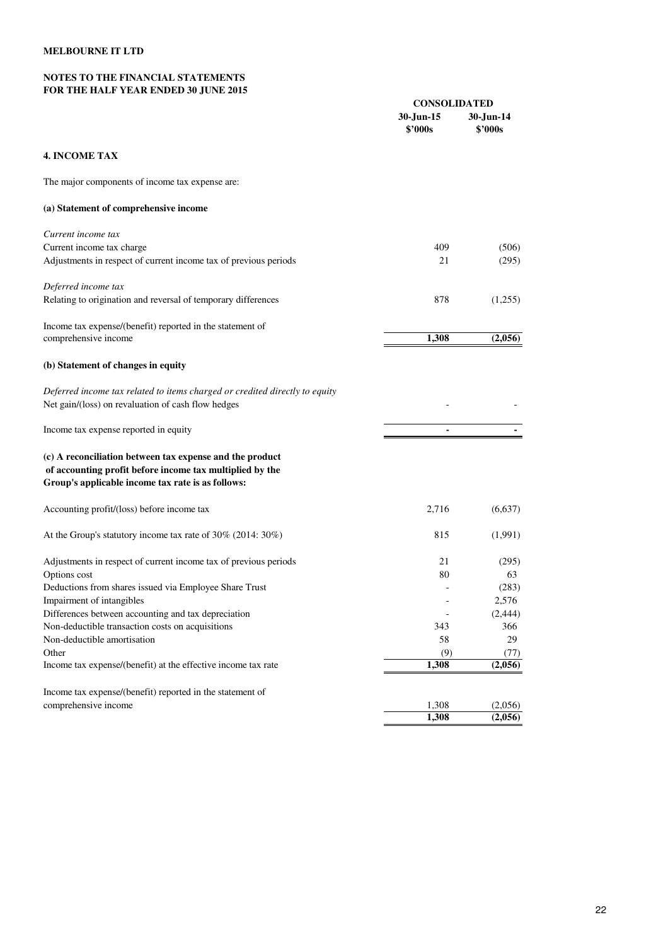#### **NOTES TO THE FINANCIAL STATEMENTS FOR THE HALF YEAR ENDED 30 JUNE 2015**

|                                                                                                                                                                           | <b>CONSOLIDATED</b>  |                      |
|---------------------------------------------------------------------------------------------------------------------------------------------------------------------------|----------------------|----------------------|
|                                                                                                                                                                           | 30-Jun-15<br>\$'000s | 30-Jun-14<br>\$'000s |
| <b>4. INCOME TAX</b>                                                                                                                                                      |                      |                      |
| The major components of income tax expense are:                                                                                                                           |                      |                      |
| (a) Statement of comprehensive income                                                                                                                                     |                      |                      |
| Current income tax                                                                                                                                                        |                      |                      |
| Current income tax charge                                                                                                                                                 | 409                  | (506)                |
| Adjustments in respect of current income tax of previous periods                                                                                                          | 21                   | (295)                |
| Deferred income tax                                                                                                                                                       |                      |                      |
| Relating to origination and reversal of temporary differences                                                                                                             | 878                  | (1,255)              |
| Income tax expense/(benefit) reported in the statement of                                                                                                                 |                      |                      |
| comprehensive income                                                                                                                                                      | 1,308                | (2,056)              |
| (b) Statement of changes in equity                                                                                                                                        |                      |                      |
| Deferred income tax related to items charged or credited directly to equity                                                                                               |                      |                      |
| Net gain/(loss) on revaluation of cash flow hedges                                                                                                                        |                      |                      |
| Income tax expense reported in equity                                                                                                                                     |                      |                      |
| (c) A reconciliation between tax expense and the product<br>of accounting profit before income tax multiplied by the<br>Group's applicable income tax rate is as follows: |                      |                      |
| Accounting profit/(loss) before income tax                                                                                                                                | 2,716                | (6,637)              |
| At the Group's statutory income tax rate of $30\%$ (2014: $30\%$ )                                                                                                        | 815                  | (1,991)              |
| Adjustments in respect of current income tax of previous periods                                                                                                          | 21                   | (295)                |
| Options cost                                                                                                                                                              | 80                   | 63                   |
| Deductions from shares issued via Employee Share Trust                                                                                                                    |                      | (283)                |
| Impairment of intangibles                                                                                                                                                 |                      | 2,576                |
| Differences between accounting and tax depreciation                                                                                                                       |                      | (2, 444)             |
| Non-deductible transaction costs on acquisitions                                                                                                                          | 343                  | 366                  |
| Non-deductible amortisation                                                                                                                                               | 58                   | 29                   |
| Other                                                                                                                                                                     | (9)                  | (77)                 |
| Income tax expense/(benefit) at the effective income tax rate                                                                                                             | 1,308                | (2,056)              |
| Income tax expense/(benefit) reported in the statement of                                                                                                                 |                      |                      |
| comprehensive income                                                                                                                                                      | 1,308                | (2,056)              |
|                                                                                                                                                                           | 1,308                | (2,056)              |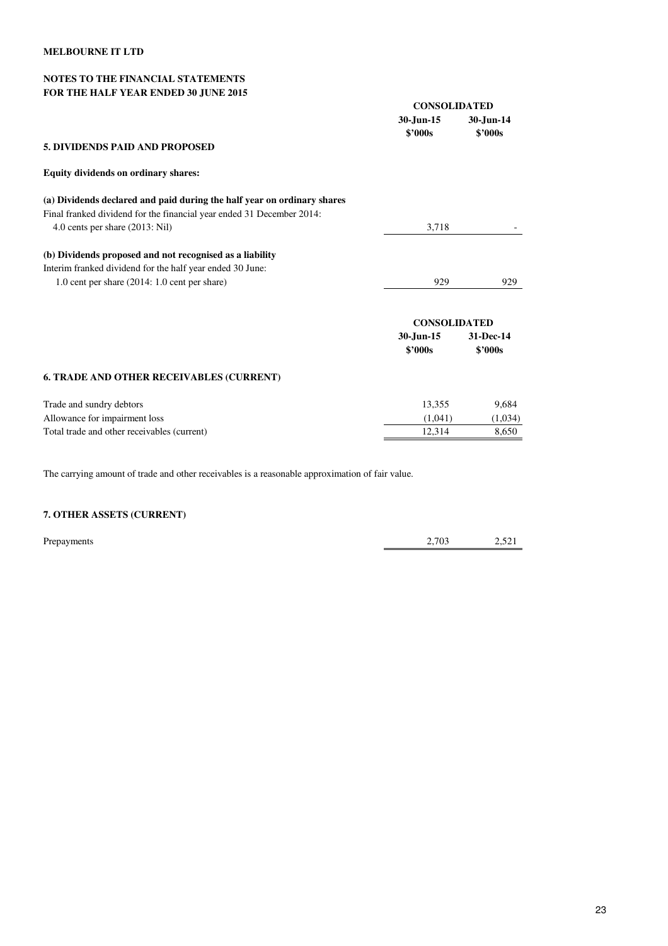#### **NOTES TO THE FINANCIAL STATEMENTS FOR THE HALF YEAR ENDED 30 JUNE 2015**

|                                                                         | <b>CONSOLIDATED</b>  |                      |
|-------------------------------------------------------------------------|----------------------|----------------------|
|                                                                         | 30-Jun-15<br>\$2000s | 30-Jun-14<br>\$2000s |
| <b>5. DIVIDENDS PAID AND PROPOSED</b>                                   |                      |                      |
| Equity dividends on ordinary shares:                                    |                      |                      |
| (a) Dividends declared and paid during the half year on ordinary shares |                      |                      |
| Final franked dividend for the financial year ended 31 December 2014:   |                      |                      |
| 4.0 cents per share (2013: Nil)                                         | 3,718                |                      |
| (b) Dividends proposed and not recognised as a liability                |                      |                      |
| Interim franked dividend for the half year ended 30 June:               |                      |                      |
| 1.0 cent per share $(2014: 1.0$ cent per share)                         | 929                  | 929                  |
|                                                                         | <b>CONSOLIDATED</b>  |                      |
|                                                                         | 30-Jun-15<br>\$2000s | 31-Dec-14<br>\$2000s |
| <b>6. TRADE AND OTHER RECEIVABLES (CURRENT)</b>                         |                      |                      |
| Trade and sundry debtors                                                | 13,355               | 9,684                |
| Allowance for impairment loss                                           | (1,041)              | (1,034)              |
| Total trade and other receivables (current)                             | 12,314               | 8,650                |

The carrying amount of trade and other receivables is a reasonable approximation of fair value.

## **7. OTHER ASSETS (CURRENT)**

| Prepayments | 2,703 | $-1$<br>$-$ , $  -$ |
|-------------|-------|---------------------|
|             |       |                     |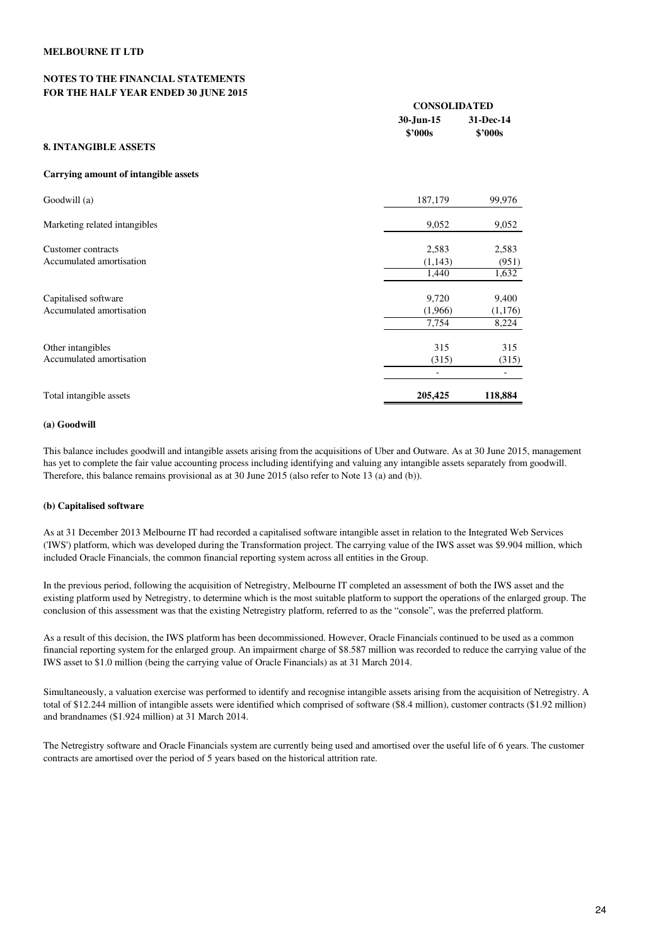#### **NOTES TO THE FINANCIAL STATEMENTS FOR THE HALF YEAR ENDED 30 JUNE 2015**

| FOR THE HALL TEAR ERDED 30 JORE 2013        |                               |                               |  |
|---------------------------------------------|-------------------------------|-------------------------------|--|
|                                             |                               | <b>CONSOLIDATED</b>           |  |
|                                             | 30-Jun-15<br>$$^{\prime}000s$ | 31-Dec-14<br>$$^{\prime}000s$ |  |
| <b>8. INTANGIBLE ASSETS</b>                 |                               |                               |  |
| <b>Carrying amount of intangible assets</b> |                               |                               |  |
| Goodwill (a)                                | 187,179                       | 99,976                        |  |
| Marketing related intangibles               | 9,052                         | 9,052                         |  |
| Customer contracts                          | 2,583                         | 2,583                         |  |
| Accumulated amortisation                    | (1,143)                       | (951)                         |  |
|                                             | 1,440                         | 1,632                         |  |
| Capitalised software                        | 9,720                         | 9,400                         |  |
| Accumulated amortisation                    | (1,966)                       | (1,176)                       |  |
|                                             | 7,754                         | 8,224                         |  |
| Other intangibles                           | 315                           | 315                           |  |
| Accumulated amortisation                    | (315)                         | (315)                         |  |
|                                             |                               | $\overline{\phantom{a}}$      |  |

Total intangible assets **205,425** 118,884

#### **(a) Goodwill**

This balance includes goodwill and intangible assets arising from the acquisitions of Uber and Outware. As at 30 June 2015, management has yet to complete the fair value accounting process including identifying and valuing any intangible assets separately from goodwill. Therefore, this balance remains provisional as at 30 June 2015 (also refer to Note 13 (a) and (b)).

#### **(b) Capitalised software**

As at 31 December 2013 Melbourne IT had recorded a capitalised software intangible asset in relation to the Integrated Web Services ('IWS') platform, which was developed during the Transformation project. The carrying value of the IWS asset was \$9.904 million, which included Oracle Financials, the common financial reporting system across all entities in the Group.

In the previous period, following the acquisition of Netregistry, Melbourne IT completed an assessment of both the IWS asset and the existing platform used by Netregistry, to determine which is the most suitable platform to support the operations of the enlarged group. The conclusion of this assessment was that the existing Netregistry platform, referred to as the "console", was the preferred platform.

As a result of this decision, the IWS platform has been decommissioned. However, Oracle Financials continued to be used as a common financial reporting system for the enlarged group. An impairment charge of \$8.587 million was recorded to reduce the carrying value of the IWS asset to \$1.0 million (being the carrying value of Oracle Financials) as at 31 March 2014.

Simultaneously, a valuation exercise was performed to identify and recognise intangible assets arising from the acquisition of Netregistry. A total of \$12.244 million of intangible assets were identified which comprised of software (\$8.4 million), customer contracts (\$1.92 million) and brandnames (\$1.924 million) at 31 March 2014.

The Netregistry software and Oracle Financials system are currently being used and amortised over the useful life of 6 years. The customer contracts are amortised over the period of 5 years based on the historical attrition rate.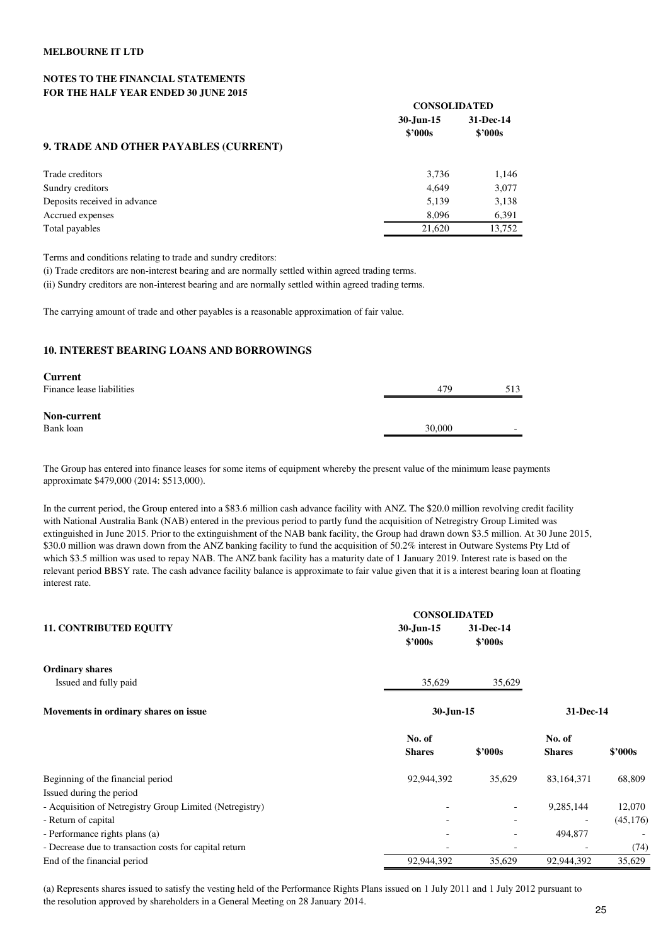#### **NOTES TO THE FINANCIAL STATEMENTS FOR THE HALF YEAR ENDED 30 JUNE 2015**

|                                       | <b>CONSOLIDATED</b>  |                               |
|---------------------------------------|----------------------|-------------------------------|
|                                       | 30-Jun-15<br>\$2000s | 31-Dec-14<br>$$^{\prime}000s$ |
| 9. TRADE AND OTHER PAYABLES (CURRENT) |                      |                               |
| Trade creditors                       | 3,736                | 1,146                         |
| Sundry creditors                      | 4.649                | 3,077                         |
| Deposits received in advance          | 5,139                | 3,138                         |
| Accrued expenses                      | 8.096                | 6,391                         |
| Total payables                        | 21.620               | 13,752                        |

Terms and conditions relating to trade and sundry creditors:

(i) Trade creditors are non-interest bearing and are normally settled within agreed trading terms.

(ii) Sundry creditors are non-interest bearing and are normally settled within agreed trading terms.

The carrying amount of trade and other payables is a reasonable approximation of fair value.

#### **10. INTEREST BEARING LOANS AND BORROWINGS**

| <b>Current</b>            |        |                          |
|---------------------------|--------|--------------------------|
| Finance lease liabilities | 479    | 513                      |
| Non-current               |        |                          |
| Bank loan                 | 30,000 | $\overline{\phantom{0}}$ |
|                           |        |                          |

The Group has entered into finance leases for some items of equipment whereby the present value of the minimum lease payments approximate \$479,000 (2014: \$513,000).

In the current period, the Group entered into a \$83.6 million cash advance facility with ANZ. The \$20.0 million revolving credit facility with National Australia Bank (NAB) entered in the previous period to partly fund the acquisition of Netregistry Group Limited was extinguished in June 2015. Prior to the extinguishment of the NAB bank facility, the Group had drawn down \$3.5 million. At 30 June 2015, \$30.0 million was drawn down from the ANZ banking facility to fund the acquisition of 50.2% interest in Outware Systems Pty Ltd of which \$3.5 million was used to repay NAB. The ANZ bank facility has a maturity date of 1 January 2019. Interest rate is based on the relevant period BBSY rate. The cash advance facility balance is approximate to fair value given that it is a interest bearing loan at floating interest rate.

|                                                          | <b>CONSOLIDATED</b>     |                          |                         |           |  |
|----------------------------------------------------------|-------------------------|--------------------------|-------------------------|-----------|--|
| <b>11. CONTRIBUTED EQUITY</b>                            | 30-Jun-15<br>\$2000s    | 31-Dec-14<br>\$2000s     |                         |           |  |
| <b>Ordinary shares</b>                                   |                         |                          |                         |           |  |
| Issued and fully paid                                    | 35,629                  | 35,629                   |                         |           |  |
| Movements in ordinary shares on issue                    |                         | 30-Jun-15                |                         | 31-Dec-14 |  |
|                                                          | No. of<br><b>Shares</b> | \$2000s                  | No. of<br><b>Shares</b> | \$'000s   |  |
| Beginning of the financial period                        | 92,944,392              | 35,629                   | 83,164,371              | 68,809    |  |
| Issued during the period                                 |                         |                          |                         |           |  |
| - Acquisition of Netregistry Group Limited (Netregistry) |                         | $\overline{\phantom{a}}$ | 9,285,144               | 12,070    |  |
| - Return of capital                                      |                         | $\overline{\phantom{a}}$ |                         | (45, 176) |  |
| - Performance rights plans (a)                           |                         | $\overline{\phantom{a}}$ | 494,877                 |           |  |
| - Decrease due to transaction costs for capital return   |                         | $\overline{\phantom{a}}$ |                         | (74)      |  |
| End of the financial period                              | 92,944,392              | 35,629                   | 92,944,392              | 35,629    |  |

(a) Represents shares issued to satisfy the vesting held of the Performance Rights Plans issued on 1 July 2011 and 1 July 2012 pursuant to the resolution approved by shareholders in a General Meeting on 28 January 2014.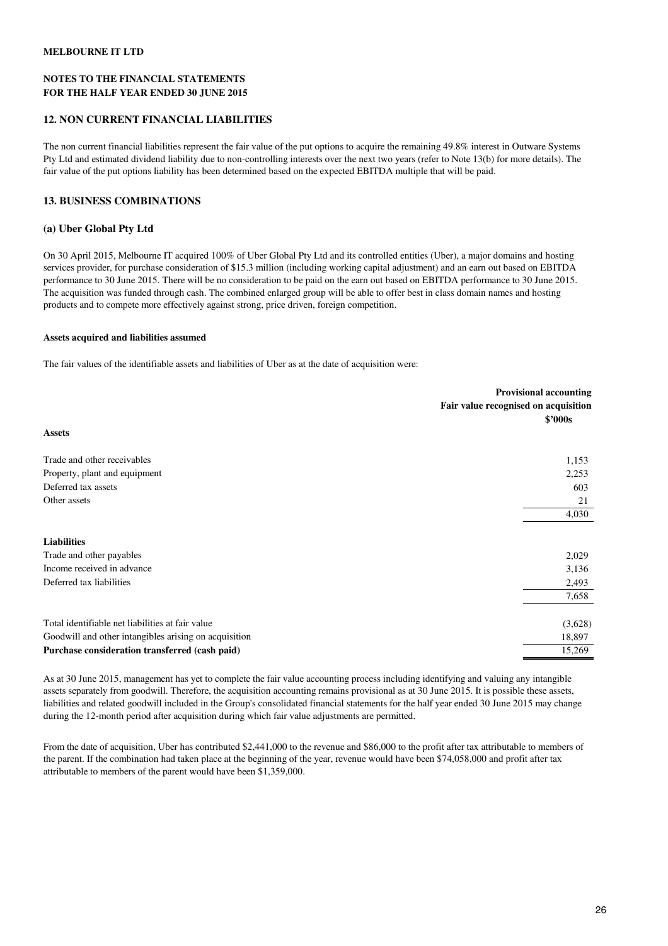#### **NOTES TO THE FINANCIAL STATEMENTS FOR THE HALF YEAR ENDED 30 JUNE 2015**

#### **12. NON CURRENT FINANCIAL LIABILITIES**

The non current financial liabilities represent the fair value of the put options to acquire the remaining 49.8% interest in Outware Systems Pty Ltd and estimated dividend liability due to non-controlling interests over the next two years (refer to Note 13(b) for more details). The fair value of the put options liability has been determined based on the expected EBITDA multiple that will be paid.

#### **13. BUSINESS COMBINATIONS**

#### **(a) Uber Global Pty Ltd**

On 30 April 2015, Melbourne IT acquired 100% of Uber Global Pty Ltd and its controlled entities (Uber), a major domains and hosting services provider, for purchase consideration of \$15.3 million (including working capital adjustment) and an earn out based on EBITDA performance to 30 June 2015. There will be no consideration to be paid on the earn out based on EBITDA performance to 30 June 2015. The acquisition was funded through cash. The combined enlarged group will be able to offer best in class domain names and hosting products and to compete more effectively against strong, price driven, foreign competition.

#### **Assets acquired and liabilities assumed**

The fair values of the identifiable assets and liabilities of Uber as at the date of acquisition were:

|                                                       | <b>Provisional accounting</b><br>Fair value recognised on acquisition<br>\$2000s |
|-------------------------------------------------------|----------------------------------------------------------------------------------|
| <b>Assets</b>                                         |                                                                                  |
| Trade and other receivables                           | 1,153                                                                            |
| Property, plant and equipment                         | 2,253                                                                            |
| Deferred tax assets                                   | 603                                                                              |
| Other assets                                          | 21                                                                               |
|                                                       | 4,030                                                                            |
| <b>Liabilities</b>                                    |                                                                                  |
| Trade and other payables                              | 2,029                                                                            |
| Income received in advance                            | 3,136                                                                            |
| Deferred tax liabilities                              | 2,493                                                                            |
|                                                       | 7,658                                                                            |
| Total identifiable net liabilities at fair value      | (3,628)                                                                          |
| Goodwill and other intangibles arising on acquisition | 18,897                                                                           |
| Purchase consideration transferred (cash paid)        | 15,269                                                                           |

As at 30 June 2015, management has yet to complete the fair value accounting process including identifying and valuing any intangible assets separately from goodwill. Therefore, the acquisition accounting remains provisional as at 30 June 2015. It is possible these assets, liabilities and related goodwill included in the Group's consolidated financial statements for the half year ended 30 June 2015 may change during the 12-month period after acquisition during which fair value adjustments are permitted.

From the date of acquisition, Uber has contributed \$2,441,000 to the revenue and \$86,000 to the profit after tax attributable to members of the parent. If the combination had taken place at the beginning of the year, revenue would have been \$74,058,000 and profit after tax attributable to members of the parent would have been \$1,359,000.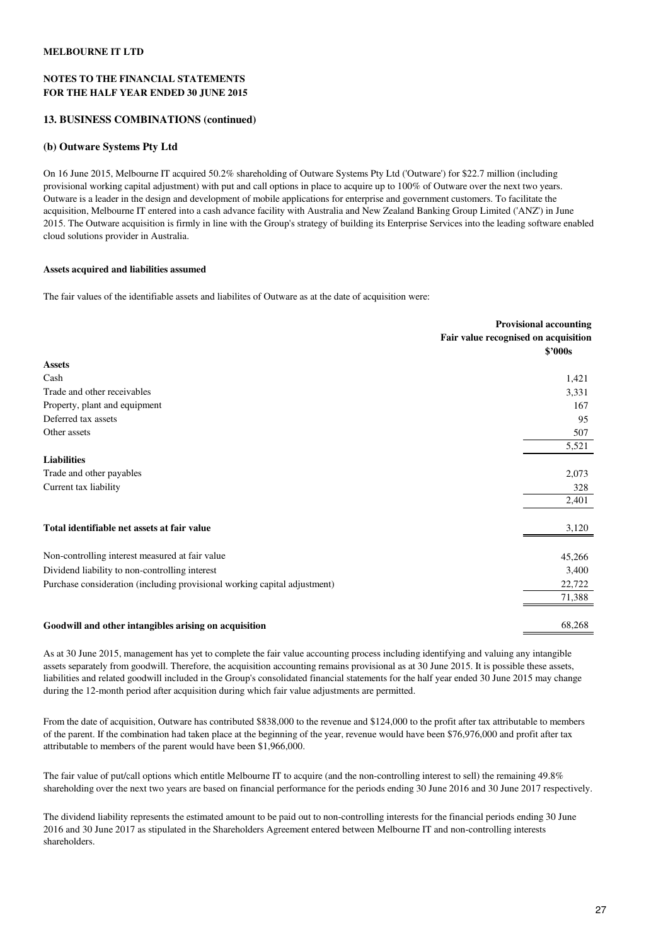#### **NOTES TO THE FINANCIAL STATEMENTS FOR THE HALF YEAR ENDED 30 JUNE 2015**

#### **13. BUSINESS COMBINATIONS (continued)**

#### **(b) Outware Systems Pty Ltd**

On 16 June 2015, Melbourne IT acquired 50.2% shareholding of Outware Systems Pty Ltd ('Outware') for \$22.7 million (including provisional working capital adjustment) with put and call options in place to acquire up to 100% of Outware over the next two years. Outware is a leader in the design and development of mobile applications for enterprise and government customers. To facilitate the acquisition, Melbourne IT entered into a cash advance facility with Australia and New Zealand Banking Group Limited ('ANZ') in June 2015. The Outware acquisition is firmly in line with the Group's strategy of building its Enterprise Services into the leading software enabled cloud solutions provider in Australia.

#### **Assets acquired and liabilities assumed**

The fair values of the identifiable assets and liabilites of Outware as at the date of acquisition were:

| <b>Provisional accounting</b>        |
|--------------------------------------|
| Fair value recognised on acquisition |
| \$2000s                              |
|                                      |
| 1,421                                |
| 3,331                                |
| 167                                  |
| 95                                   |
| 507                                  |
| 5,521                                |
|                                      |
| 2,073                                |
| 328                                  |
| 2,401                                |
| 3,120                                |
| 45,266                               |
| 3,400                                |
| 22,722                               |
| 71,388                               |
| 68,268                               |
|                                      |

As at 30 June 2015, management has yet to complete the fair value accounting process including identifying and valuing any intangible assets separately from goodwill. Therefore, the acquisition accounting remains provisional as at 30 June 2015. It is possible these assets, liabilities and related goodwill included in the Group's consolidated financial statements for the half year ended 30 June 2015 may change during the 12-month period after acquisition during which fair value adjustments are permitted.

From the date of acquisition, Outware has contributed \$838,000 to the revenue and \$124,000 to the profit after tax attributable to members of the parent. If the combination had taken place at the beginning of the year, revenue would have been \$76,976,000 and profit after tax attributable to members of the parent would have been \$1,966,000.

The fair value of put/call options which entitle Melbourne IT to acquire (and the non-controlling interest to sell) the remaining 49.8% shareholding over the next two years are based on financial performance for the periods ending 30 June 2016 and 30 June 2017 respectively.

The dividend liability represents the estimated amount to be paid out to non-controlling interests for the financial periods ending 30 June 2016 and 30 June 2017 as stipulated in the Shareholders Agreement entered between Melbourne IT and non-controlling interests shareholders.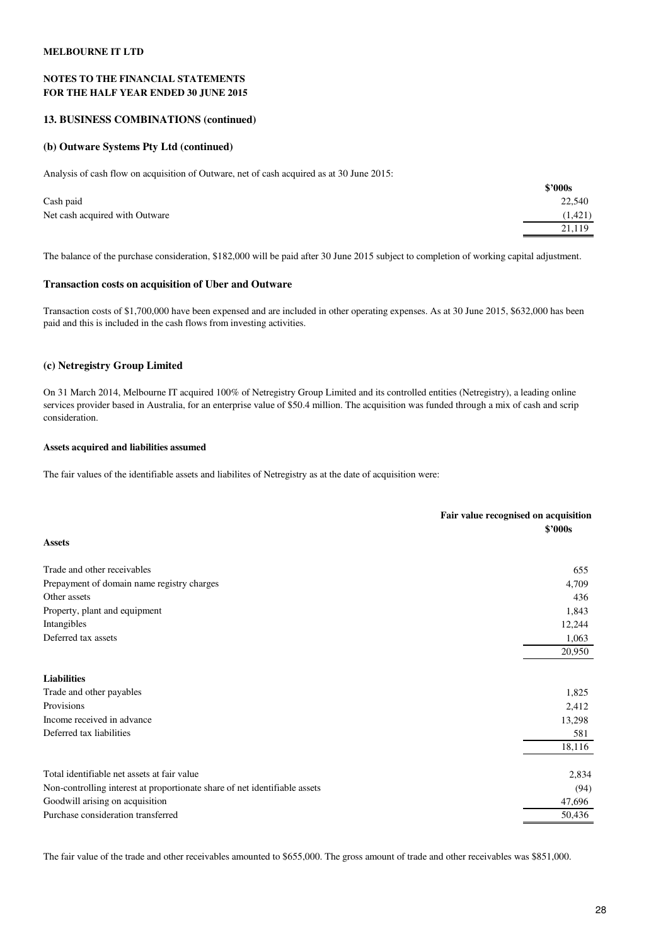#### **NOTES TO THE FINANCIAL STATEMENTS FOR THE HALF YEAR ENDED 30 JUNE 2015**

#### **13. BUSINESS COMBINATIONS (continued)**

#### **(b) Outware Systems Pty Ltd (continued)**

Analysis of cash flow on acquisition of Outware, net of cash acquired as at 30 June 2015:

|                                | S'UUUS  |
|--------------------------------|---------|
| Cash paid                      | 22,540  |
| Net cash acquired with Outware | (1,421) |
|                                | 21,119  |
|                                |         |

The balance of the purchase consideration, \$182,000 will be paid after 30 June 2015 subject to completion of working capital adjustment.

#### **Transaction costs on acquisition of Uber and Outware**

Transaction costs of \$1,700,000 have been expensed and are included in other operating expenses. As at 30 June 2015, \$632,000 has been paid and this is included in the cash flows from investing activities.

#### **(c) Netregistry Group Limited**

On 31 March 2014, Melbourne IT acquired 100% of Netregistry Group Limited and its controlled entities (Netregistry), a leading online services provider based in Australia, for an enterprise value of \$50.4 million. The acquisition was funded through a mix of cash and scrip consideration.

#### **Assets acquired and liabilities assumed**

The fair values of the identifiable assets and liabilites of Netregistry as at the date of acquisition were:

|                                                                            | Fair value recognised on acquisition |
|----------------------------------------------------------------------------|--------------------------------------|
|                                                                            | \$'000s                              |
| <b>Assets</b>                                                              |                                      |
| Trade and other receivables                                                | 655                                  |
| Prepayment of domain name registry charges                                 | 4,709                                |
| Other assets                                                               | 436                                  |
| Property, plant and equipment                                              | 1,843                                |
| Intangibles                                                                | 12,244                               |
| Deferred tax assets                                                        | 1,063                                |
|                                                                            | 20,950                               |
| <b>Liabilities</b>                                                         |                                      |
| Trade and other payables                                                   | 1,825                                |
| Provisions                                                                 | 2,412                                |
| Income received in advance                                                 | 13,298                               |
| Deferred tax liabilities                                                   | 581                                  |
|                                                                            | 18,116                               |
| Total identifiable net assets at fair value                                | 2,834                                |
| Non-controlling interest at proportionate share of net identifiable assets | (94)                                 |
| Goodwill arising on acquisition                                            | 47,696                               |
| Purchase consideration transferred                                         | 50,436                               |
|                                                                            |                                      |

The fair value of the trade and other receivables amounted to \$655,000. The gross amount of trade and other receivables was \$851,000.

**\$'000s**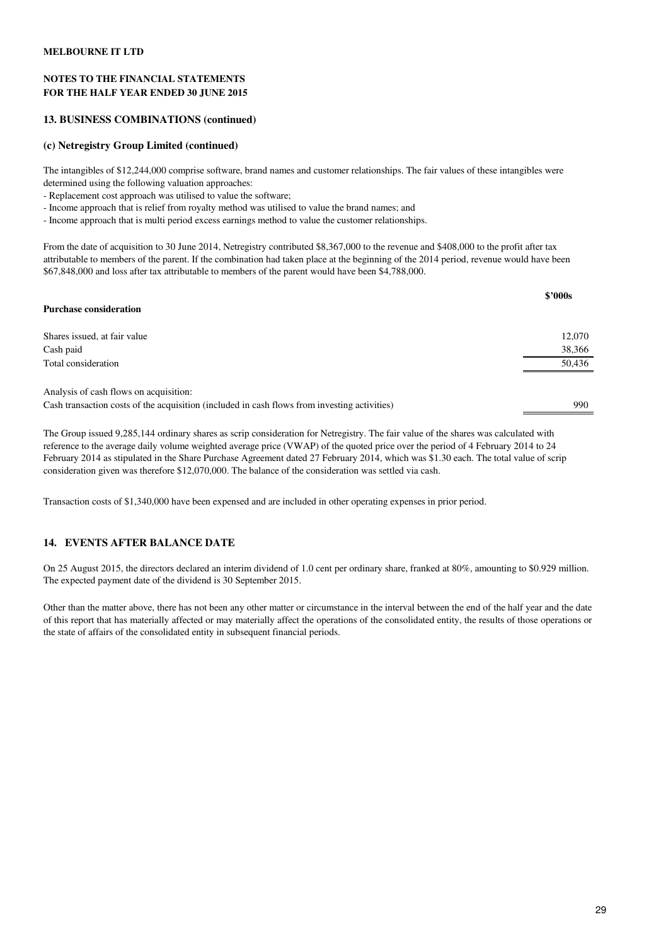#### **NOTES TO THE FINANCIAL STATEMENTS FOR THE HALF YEAR ENDED 30 JUNE 2015**

#### **13. BUSINESS COMBINATIONS (continued)**

## **(c) Netregistry Group Limited (continued)**

The intangibles of \$12,244,000 comprise software, brand names and customer relationships. The fair values of these intangibles were determined using the following valuation approaches:

- Replacement cost approach was utilised to value the software;

- Income approach that is relief from royalty method was utilised to value the brand names; and
- Income approach that is multi period excess earnings method to value the customer relationships.

From the date of acquisition to 30 June 2014, Netregistry contributed \$8,367,000 to the revenue and \$408,000 to the profit after tax attributable to members of the parent. If the combination had taken place at the beginning of the 2014 period, revenue would have been \$67,848,000 and loss after tax attributable to members of the parent would have been \$4,788,000.

| <b>Purchase consideration</b>                                                                | \$2000s |
|----------------------------------------------------------------------------------------------|---------|
|                                                                                              |         |
| Shares issued, at fair value                                                                 | 12,070  |
| Cash paid                                                                                    | 38,366  |
| Total consideration                                                                          | 50,436  |
| Analysis of cash flows on acquisition:                                                       |         |
| Cash transaction costs of the acquisition (included in cash flows from investing activities) | 990     |

The Group issued 9,285,144 ordinary shares as scrip consideration for Netregistry. The fair value of the shares was calculated with reference to the average daily volume weighted average price (VWAP) of the quoted price over the period of 4 February 2014 to 24 February 2014 as stipulated in the Share Purchase Agreement dated 27 February 2014, which was \$1.30 each. The total value of scrip consideration given was therefore \$12,070,000. The balance of the consideration was settled via cash.

Transaction costs of \$1,340,000 have been expensed and are included in other operating expenses in prior period.

#### **14. EVENTS AFTER BALANCE DATE**

On 25 August 2015, the directors declared an interim dividend of 1.0 cent per ordinary share, franked at 80%, amounting to \$0.929 million. The expected payment date of the dividend is 30 September 2015.

Other than the matter above, there has not been any other matter or circumstance in the interval between the end of the half year and the date of this report that has materially affected or may materially affect the operations of the consolidated entity, the results of those operations or the state of affairs of the consolidated entity in subsequent financial periods.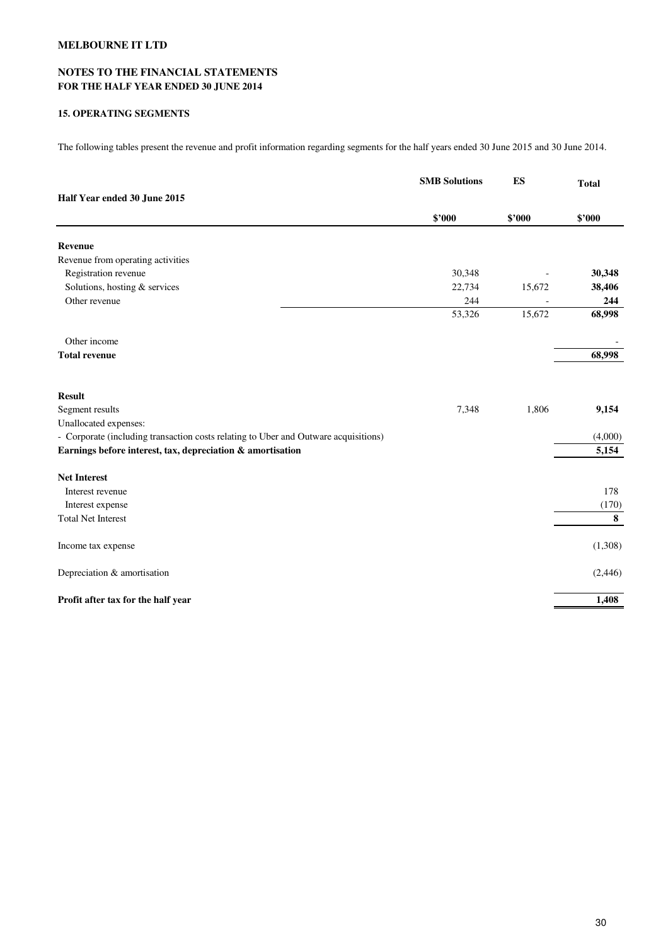## **NOTES TO THE FINANCIAL STATEMENTS FOR THE HALF YEAR ENDED 30 JUNE 2014**

#### **15. OPERATING SEGMENTS**

The following tables present the revenue and profit information regarding segments for the half years ended 30 June 2015 and 30 June 2014.

|                                                                                     | <b>SMB Solutions</b> | ES     | <b>Total</b> |
|-------------------------------------------------------------------------------------|----------------------|--------|--------------|
| Half Year ended 30 June 2015                                                        |                      |        |              |
|                                                                                     | \$'000               | \$2000 | \$'000       |
| Revenue                                                                             |                      |        |              |
| Revenue from operating activities                                                   |                      |        |              |
| Registration revenue                                                                | 30,348               |        | 30,348       |
| Solutions, hosting & services                                                       | 22,734               | 15,672 | 38,406       |
| Other revenue                                                                       | 244                  |        | 244          |
|                                                                                     | 53,326               | 15,672 | 68,998       |
| Other income                                                                        |                      |        |              |
| <b>Total revenue</b>                                                                |                      |        | 68,998       |
| <b>Result</b>                                                                       |                      |        |              |
| Segment results                                                                     | 7,348                | 1,806  | 9,154        |
| Unallocated expenses:                                                               |                      |        |              |
| - Corporate (including transaction costs relating to Uber and Outware acquisitions) |                      |        | (4,000)      |
| Earnings before interest, tax, depreciation & amortisation                          |                      |        | 5,154        |
| <b>Net Interest</b>                                                                 |                      |        |              |
| Interest revenue                                                                    |                      |        | 178          |
| Interest expense                                                                    |                      |        | (170)        |
| <b>Total Net Interest</b>                                                           |                      |        | 8            |
| Income tax expense                                                                  |                      |        | (1,308)      |
| Depreciation & amortisation                                                         |                      |        | (2, 446)     |
| Profit after tax for the half year                                                  |                      |        | 1,408        |